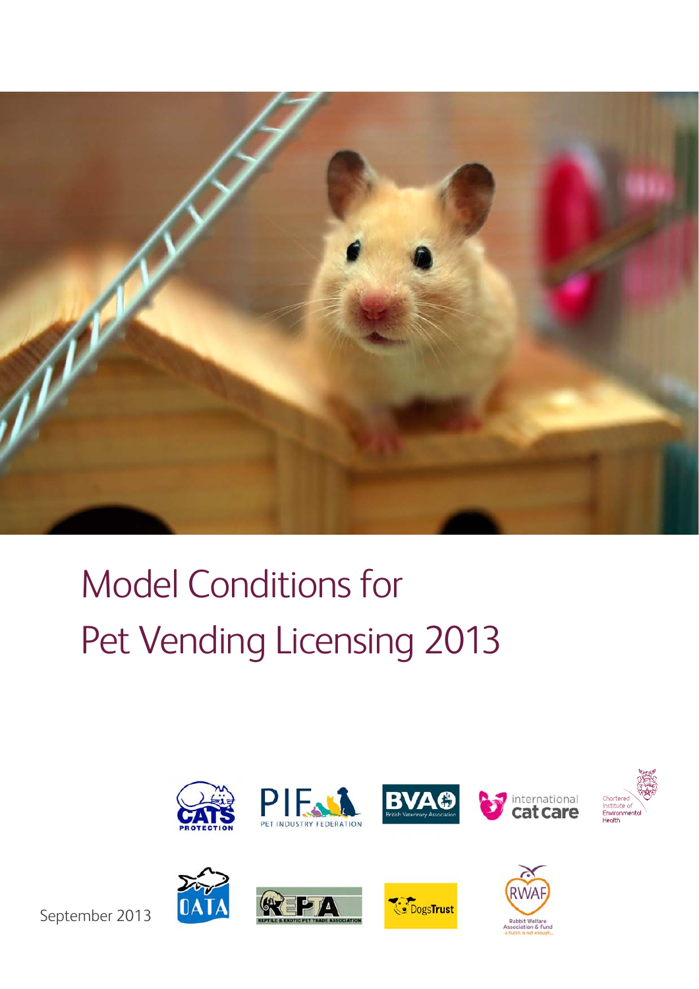

# Model Conditions for Pet Vending Licensing 2013



September 2013





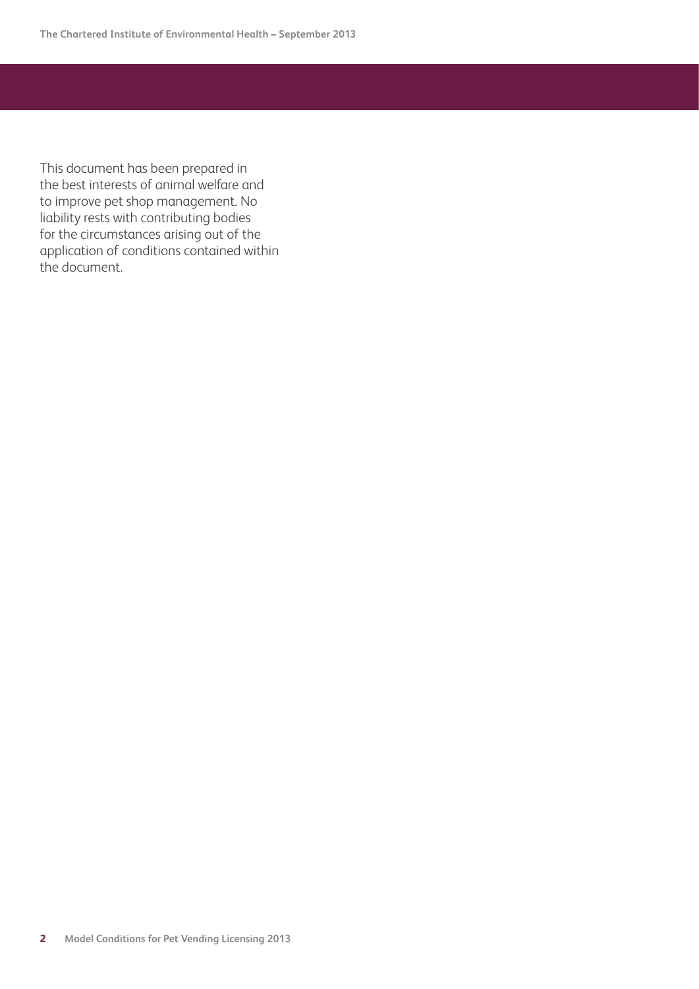This document has been prepared in the best interests of animal welfare and to improve pet shop management. No liability rests with contributing bodies for the circumstances arising out of the application of conditions contained within the document.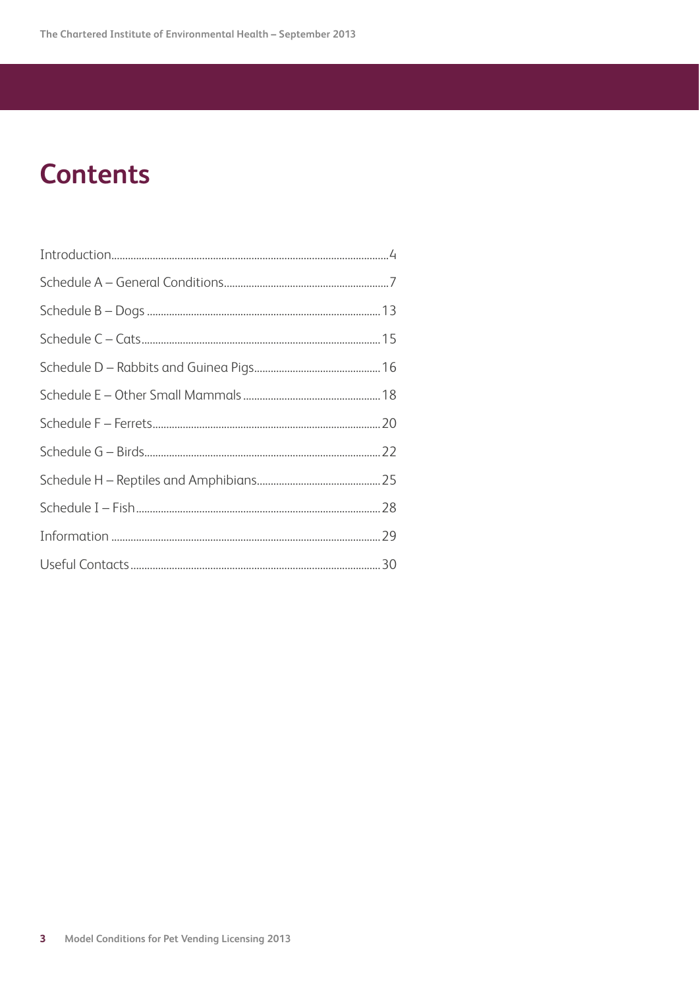## **Contents**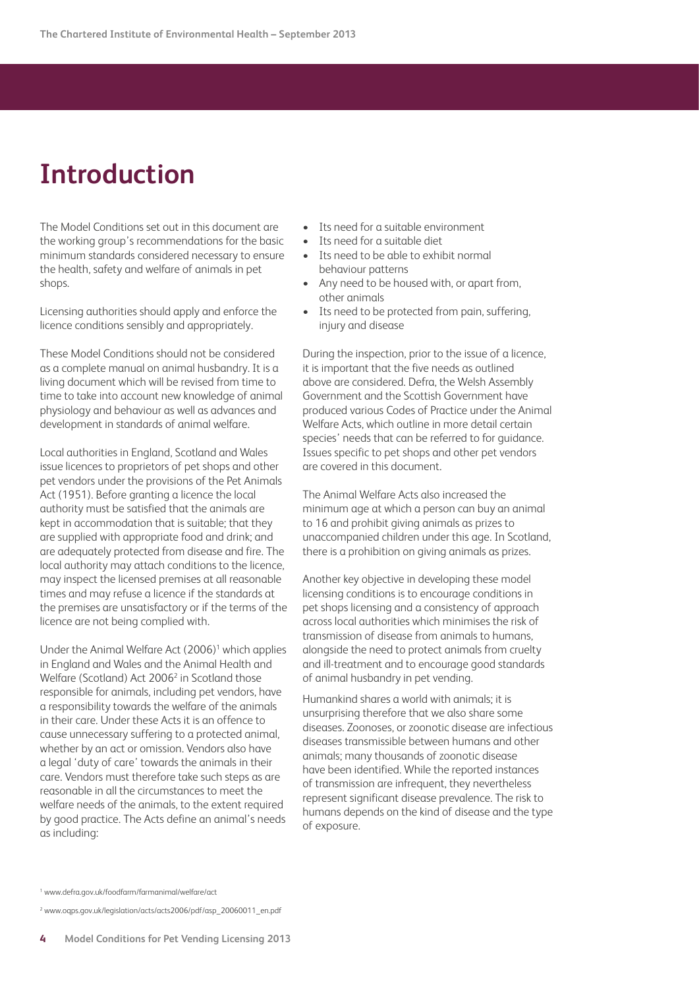## <span id="page-3-0"></span>**Introduction**

The Model Conditions set out in this document are the working group's recommendations for the basic minimum standards considered necessary to ensure the health, safety and welfare of animals in pet shops.

Licensing authorities should apply and enforce the licence conditions sensibly and appropriately.

These Model Conditions should not be considered as a complete manual on animal husbandry. It is a living document which will be revised from time to time to take into account new knowledge of animal physiology and behaviour as well as advances and development in standards of animal welfare.

Local authorities in England, Scotland and Wales issue licences to proprietors of pet shops and other pet vendors under the provisions of the Pet Animals Act (1951). Before granting a licence the local authority must be satisfied that the animals are kept in accommodation that is suitable; that they are supplied with appropriate food and drink; and are adequately protected from disease and fire. The local authority may attach conditions to the licence, may inspect the licensed premises at all reasonable times and may refuse a licence if the standards at the premises are unsatisfactory or if the terms of the licence are not being complied with.

Under the Animal Welfare Act (2006)<sup>1</sup> which applies in England and Wales and the Animal Health and Welfare (Scotland) Act 2006<sup>2</sup> in Scotland those responsible for animals, including pet vendors, have a responsibility towards the welfare of the animals in their care. Under these Acts it is an offence to cause unnecessary suffering to a protected animal, whether by an act or omission. Vendors also have a legal 'duty of care' towards the animals in their care. Vendors must therefore take such steps as are reasonable in all the circumstances to meet the welfare needs of the animals, to the extent required by good practice. The Acts define an animal's needs as including:

- Its need for a suitable environment
- Its need for a suitable diet
- Its need to be able to exhibit normal behaviour patterns
- Any need to be housed with, or apart from, other animals
- Its need to be protected from pain, suffering, injury and disease

During the inspection, prior to the issue of a licence, it is important that the five needs as outlined above are considered. Defra, the Welsh Assembly Government and the Scottish Government have produced various Codes of Practice under the Animal Welfare Acts, which outline in more detail certain species' needs that can be referred to for quidance. Issues specific to pet shops and other pet vendors are covered in this document.

The Animal Welfare Acts also increased the minimum age at which a person can buy an animal to 16 and prohibit giving animals as prizes to unaccompanied children under this age. In Scotland, there is a prohibition on giving animals as prizes.

Another key objective in developing these model licensing conditions is to encourage conditions in pet shops licensing and a consistency of approach across local authorities which minimises the risk of transmission of disease from animals to humans, alongside the need to protect animals from cruelty and ill-treatment and to encourage good standards of animal husbandry in pet vending.

Humankind shares a world with animals; it is unsurprising therefore that we also share some diseases. Zoonoses, or zoonotic disease are infectious diseases transmissible between humans and other animals; many thousands of zoonotic disease have been identified. While the reported instances of transmission are infrequent, they nevertheless represent significant disease prevalence. The risk to humans depends on the kind of disease and the type of exposure.

<sup>1</sup> www.defra.gov.uk/foodfarm/farmanimal/welfare/act

<sup>2</sup> www.oqps.gov.uk/legislation/acts/acts2006/pdf/asp\_20060011\_en.pdf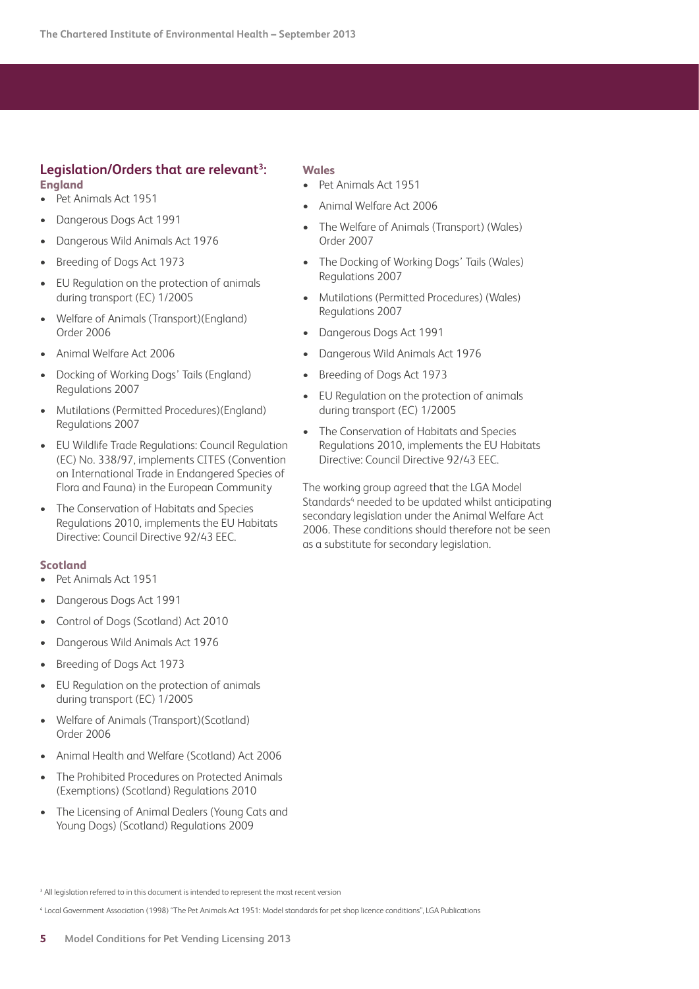## **Legislation/Orders that are relevant3 : England**

- • Pet Animals Act 1951
- Dangerous Dogs Act 1991
- Dangerous Wild Animals Act 1976
- Breeding of Dogs Act 1973
- EU Regulation on the protection of animals during transport (EC) 1/2005
- Welfare of Animals (Transport)(England) Order 2006
- Animal Welfare Act 2006
- Docking of Working Dogs' Tails (England) Regulations 2007
- Mutilations (Permitted Procedures)(England) Regulations 2007
- **EU Wildlife Trade Regulations: Council Regulation** (EC) No. 338/97, implements CITES (Convention on International Trade in Endangered Species of Flora and Fauna) in the European Community
- The Conservation of Habitats and Species Regulations 2010, implements the EU Habitats Directive: Council Directive 92/43 EEC.

#### **Scotland**

- Pet Animals Act 1951
- **Dangerous Dogs Act 1991**
- Control of Dogs (Scotland) Act 2010
- Dangerous Wild Animals Act 1976
- Breeding of Dogs Act 1973
- EU Regulation on the protection of animals during transport (EC) 1/2005
- Welfare of Animals (Transport)(Scotland) Order 2006
- • Animal Health and Welfare (Scotland) Act 2006
- The Prohibited Procedures on Protected Animals (Exemptions) (Scotland) Regulations 2010
- The Licensing of Animal Dealers (Young Cats and Young Dogs) (Scotland) Regulations 2009

#### **Wales**

- Pet Animals Act 1951
- Animal Welfare Act 2006
- The Welfare of Animals (Transport) (Wales) Order 2007
- The Docking of Working Dogs' Tails (Wales) Regulations 2007
- • Mutilations (Permitted Procedures) (Wales) Regulations 2007
- Dangerous Dogs Act 1991
- Dangerous Wild Animals Act 1976
- Breeding of Dogs Act 1973
- EU Regulation on the protection of animals during transport (EC) 1/2005
- The Conservation of Habitats and Species Regulations 2010, implements the EU Habitats Directive: Council Directive 92/43 EEC.

The working group agreed that the LGA Model Standards<sup>4</sup> needed to be updated whilst anticipating secondary legislation under the Animal Welfare Act 2006. These conditions should therefore not be seen as a substitute for secondary legislation.

<sup>3</sup> All legislation referred to in this document is intended to represent the most recent version

<sup>4</sup> Local Government Association (1998) "The Pet Animals Act 1951: Model standards for pet shop licence conditions", LGA Publications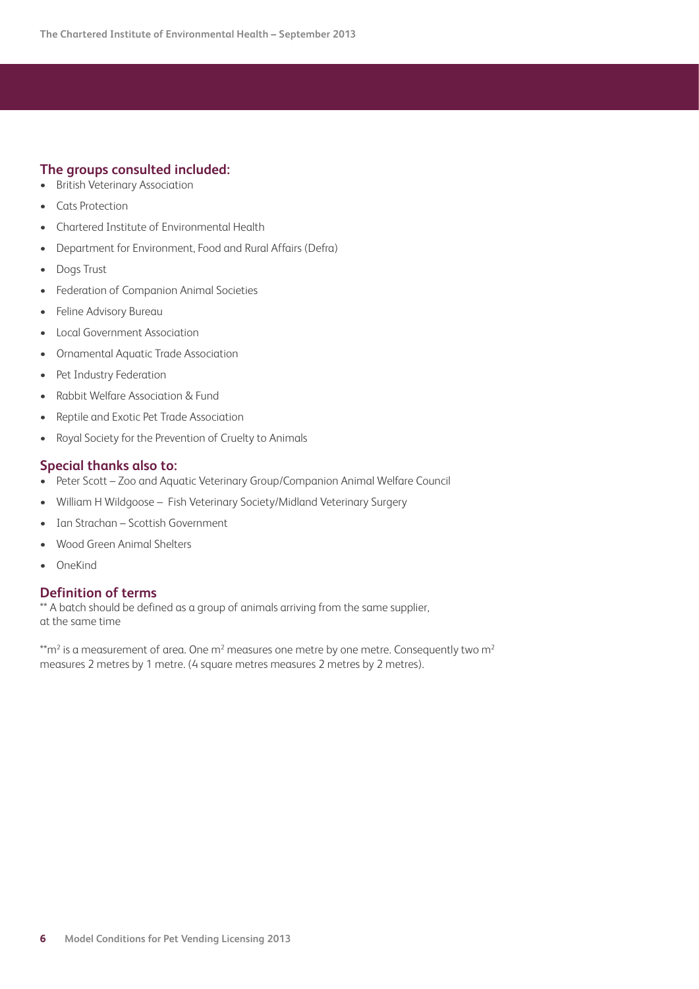## **The groups consulted included:**

- • British Veterinary Association
- Cats Protection
- Chartered Institute of Environmental Health
- • Department for Environment, Food and Rural Affairs (Defra)
- • Dogs Trust
- **Federation of Companion Animal Societies**
- Feline Advisory Bureau
- **Local Government Association**
- **Ornamental Aquatic Trade Association**
- Pet Industry Federation
- **Rabbit Welfare Association & Fund**
- • Reptile and Exotic Pet Trade Association
- Royal Society for the Prevention of Cruelty to Animals

## **Special thanks also to:**

- Peter Scott Zoo and Aquatic Veterinary Group/Companion Animal Welfare Council
- William H Wildgoose Fish Veterinary Society/Midland Veterinary Surgery
- Ian Strachan Scottish Government
- Wood Green Animal Shelters
- • OneKind

## **Definition of terms**

\*\* A batch should be defined as a group of animals arriving from the same supplier, at the same time

 $\rm ^*tm^2$  is a measurement of area. One m $\rm ^2$  measures one metre by one metre. Consequently two m $\rm ^2$ measures 2 metres by 1 metre. (4 square metres measures 2 metres by 2 metres).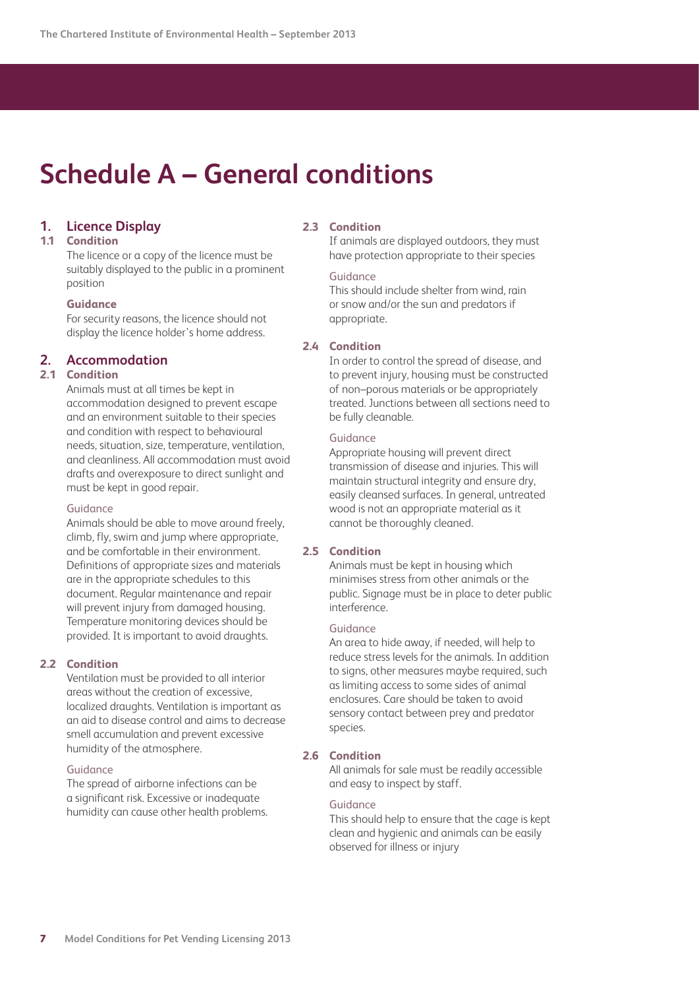## <span id="page-6-0"></span>**Schedule A – General conditions**

## **1. Licence Display**

#### **1.1 Condition**

 The licence or a copy of the licence must be suitably displayed to the public in a prominent position

#### **Guidance**

 For security reasons, the licence should not display the licence holder's home address.

## **2. Accommodation**

## **2.1 Condition**

 Animals must at all times be kept in accommodation designed to prevent escape and an environment suitable to their species and condition with respect to behavioural needs, situation, size, temperature, ventilation, and cleanliness. All accommodation must avoid drafts and overexposure to direct sunlight and must be kept in good repair.

#### Guidance

 Animals should be able to move around freely, climb, fly, swim and jump where appropriate, and be comfortable in their environment. Definitions of appropriate sizes and materials are in the appropriate schedules to this document. Regular maintenance and repair will prevent injury from damaged housing. Temperature monitoring devices should be provided. It is important to avoid draughts.

#### **2.2 Condition**

 Ventilation must be provided to all interior areas without the creation of excessive, localized draughts. Ventilation is important as an aid to disease control and aims to decrease smell accumulation and prevent excessive humidity of the atmosphere.

#### Guidance

 The spread of airborne infections can be a significant risk. Excessive or inadequate humidity can cause other health problems.

#### **2.3 Condition**

 If animals are displayed outdoors, they must have protection appropriate to their species

#### Guidance

 This should include shelter from wind, rain or snow and/or the sun and predators if appropriate.

#### **2.4 Condition**

 In order to control the spread of disease, and to prevent injury, housing must be constructed of non–porous materials or be appropriately treated. Junctions between all sections need to be fully cleanable.

#### Guidance

 Appropriate housing will prevent direct transmission of disease and injuries. This will maintain structural integrity and ensure dry, easily cleansed surfaces. In general, untreated wood is not an appropriate material as it cannot be thoroughly cleaned.

#### **2.5 Condition**

 Animals must be kept in housing which minimises stress from other animals or the public. Signage must be in place to deter public interference.

#### Guidance

 An area to hide away, if needed, will help to reduce stress levels for the animals. In addition to signs, other measures maybe required, such as limiting access to some sides of animal enclosures. Care should be taken to avoid sensory contact between prey and predator species.

#### **2.6 Condition**

 All animals for sale must be readily accessible and easy to inspect by staff.

#### Guidance

 This should help to ensure that the cage is kept clean and hygienic and animals can be easily observed for illness or injury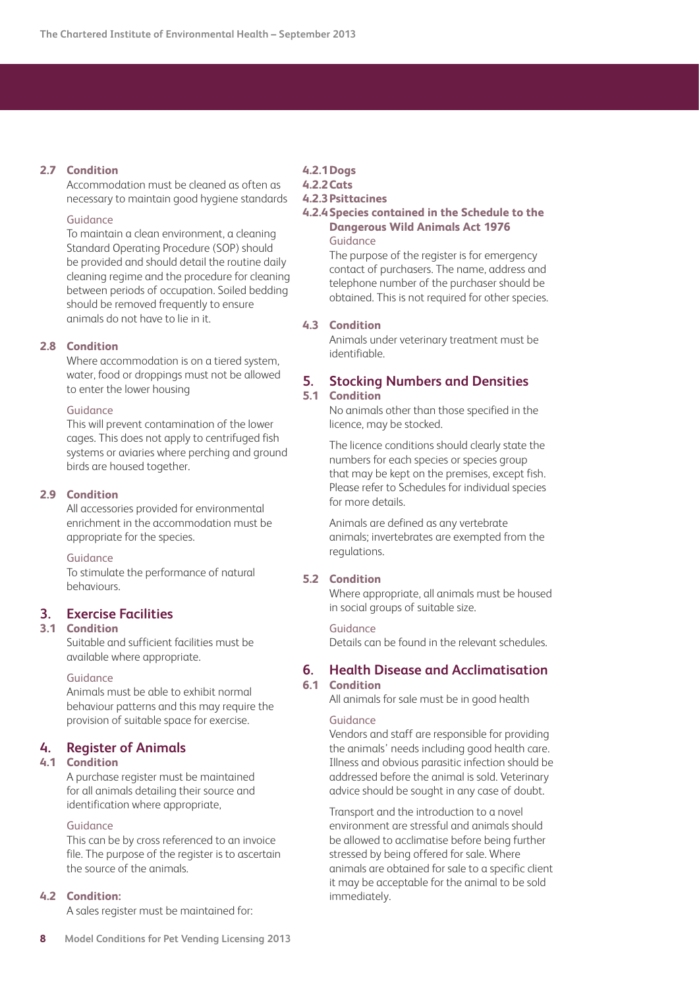#### **2.7 Condition**

 Accommodation must be cleaned as often as necessary to maintain good hygiene standards

#### Guidance

 To maintain a clean environment, a cleaning Standard Operating Procedure (SOP) should be provided and should detail the routine daily cleaning regime and the procedure for cleaning between periods of occupation. Soiled bedding should be removed frequently to ensure animals do not have to lie in it.

#### **2.8 Condition**

 Where accommodation is on a tiered system, water, food or droppings must not be allowed to enter the lower housing

#### Guidance

 This will prevent contamination of the lower cages. This does not apply to centrifuged fish systems or aviaries where perching and ground birds are housed together.

#### **2.9 Condition**

 All accessories provided for environmental enrichment in the accommodation must be appropriate for the species.

Guidance

 To stimulate the performance of natural behaviours.

## **3. Exercise Facilities**

### **3.1 Condition**

 Suitable and sufficient facilities must be available where appropriate.

### Guidance

 Animals must be able to exhibit normal behaviour patterns and this may require the provision of suitable space for exercise.

#### **4. Register of Animals**

#### **4.1 Condition**

 A purchase register must be maintained for all animals detailing their source and identification where appropriate,

#### Guidance

 This can be by cross referenced to an invoice file. The purpose of the register is to ascertain the source of the animals.

#### **4.2 Condition:**

A sales register must be maintained for:

**4.2.1Dogs**

## **4.2.2Cats**

## **4.2.3Psittacines**

#### **4.2.4 Species contained in the Schedule to the Dangerous Wild Animals Act 1976** Guidance

 The purpose of the register is for emergency contact of purchasers. The name, address and telephone number of the purchaser should be obtained. This is not required for other species.

#### **4.3 Condition**

 Animals under veterinary treatment must be identifiable.

## **5. Stocking Numbers and Densities**

## **5.1 Condition**

 No animals other than those specified in the licence, may be stocked.

 The licence conditions should clearly state the numbers for each species or species group that may be kept on the premises, except fish. Please refer to Schedules for individual species for more details.

 Animals are defined as any vertebrate animals; invertebrates are exempted from the regulations.

## **5.2 Condition**

 Where appropriate, all animals must be housed in social groups of suitable size.

#### Guidance

Details can be found in the relevant schedules.

#### **6. Health Disease and Acclimatisation**

## **6.1 Condition**

All animals for sale must be in good health

#### Guidance

 Vendors and staff are responsible for providing the animals' needs including good health care. Illness and obvious parasitic infection should be addressed before the animal is sold. Veterinary advice should be sought in any case of doubt.

 Transport and the introduction to a novel environment are stressful and animals should be allowed to acclimatise before being further stressed by being offered for sale. Where animals are obtained for sale to a specific client it may be acceptable for the animal to be sold immediately.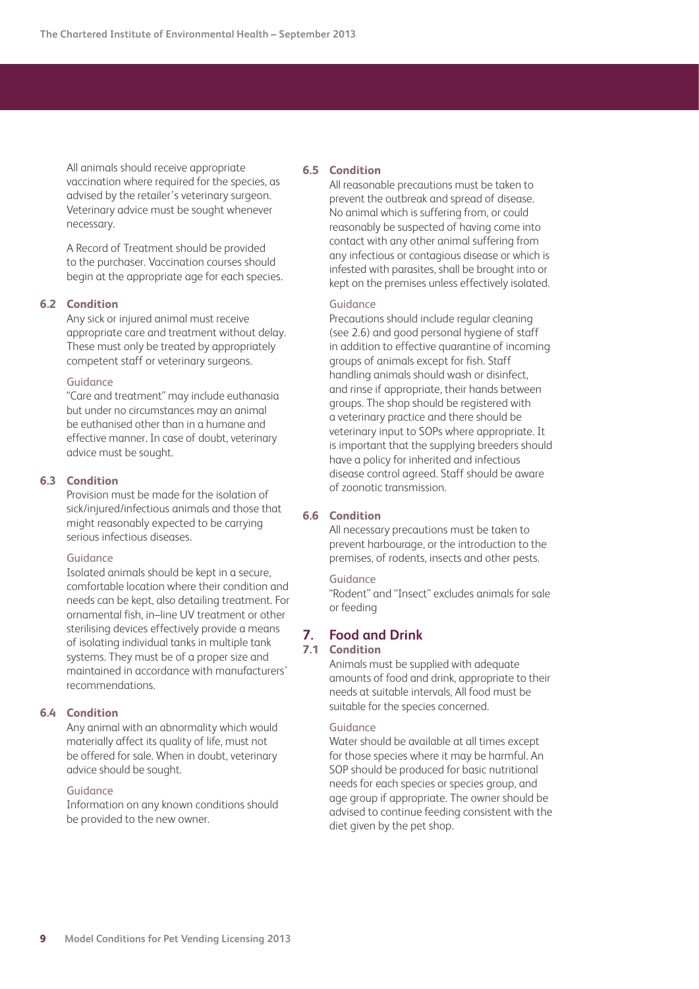All animals should receive appropriate vaccination where required for the species, as advised by the retailer's veterinary surgeon. Veterinary advice must be sought whenever necessary.

 A Record of Treatment should be provided to the purchaser. Vaccination courses should begin at the appropriate age for each species.

#### **6.2 Condition**

 Any sick or injured animal must receive appropriate care and treatment without delay. These must only be treated by appropriately competent staff or veterinary surgeons.

#### Guidance

 "Care and treatment" may include euthanasia but under no circumstances may an animal be euthanised other than in a humane and effective manner. In case of doubt, veterinary advice must be sought.

#### **6.3 Condition**

 Provision must be made for the isolation of sick/injured/infectious animals and those that might reasonably expected to be carrying serious infectious diseases.

#### Guidance

 Isolated animals should be kept in a secure, comfortable location where their condition and needs can be kept, also detailing treatment. For ornamental fish, in–line UV treatment or other sterilising devices effectively provide a means of isolating individual tanks in multiple tank systems. They must be of a proper size and maintained in accordance with manufacturers' recommendations.

#### **6.4 Condition**

 Any animal with an abnormality which would materially affect its quality of life, must not be offered for sale. When in doubt, veterinary advice should be sought.

#### Guidance

 Information on any known conditions should be provided to the new owner.

#### **6.5 Condition**

 All reasonable precautions must be taken to prevent the outbreak and spread of disease. No animal which is suffering from, or could reasonably be suspected of having come into contact with any other animal suffering from any infectious or contagious disease or which is infested with parasites, shall be brought into or kept on the premises unless effectively isolated.

#### Guidance

 Precautions should include regular cleaning (see 2.6) and good personal hygiene of staff in addition to effective quarantine of incoming groups of animals except for fish. Staff handling animals should wash or disinfect, and rinse if appropriate, their hands between groups. The shop should be registered with a veterinary practice and there should be veterinary input to SOPs where appropriate. It is important that the supplying breeders should have a policy for inherited and infectious disease control agreed. Staff should be aware of zoonotic transmission.

#### **6.6 Condition**

 All necessary precautions must be taken to prevent harbourage, or the introduction to the premises, of rodents, insects and other pests.

#### Guidance

 "Rodent" and "Insect" excludes animals for sale or feeding

#### **7. Food and Drink**

#### **7.1 Condition**

 Animals must be supplied with adequate amounts of food and drink, appropriate to their needs at suitable intervals, All food must be suitable for the species concerned.

#### Guidance

 Water should be available at all times except for those species where it may be harmful. An SOP should be produced for basic nutritional needs for each species or species group, and age group if appropriate. The owner should be advised to continue feeding consistent with the diet given by the pet shop.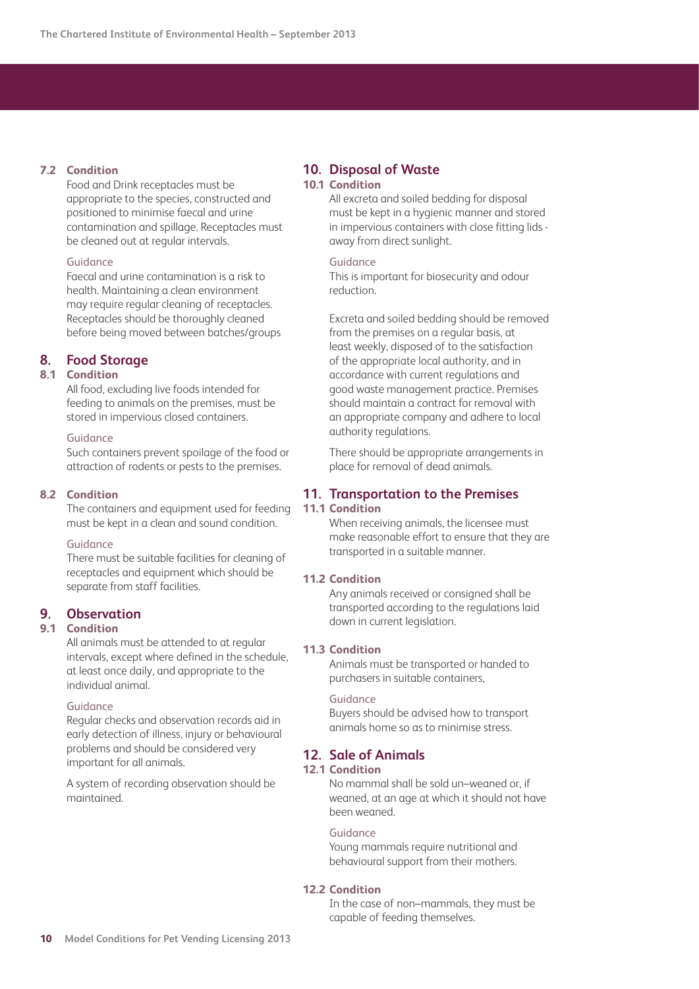## **7.2 Condition**

 Food and Drink receptacles must be appropriate to the species, constructed and positioned to minimise faecal and urine contamination and spillage. Receptacles must be cleaned out at regular intervals.

## Guidance

 Faecal and urine contamination is a risk to health. Maintaining a clean environment may require regular cleaning of receptacles. Receptacles should be thoroughly cleaned before being moved between batches/groups

## **8. Food Storage**

## **8.1 Condition**

 All food, excluding live foods intended for feeding to animals on the premises, must be stored in impervious closed containers.

#### Guidance

 Such containers prevent spoilage of the food or attraction of rodents or pests to the premises.

#### **8.2 Condition**

 The containers and equipment used for feeding must be kept in a clean and sound condition.

#### Guidance

 There must be suitable facilities for cleaning of receptacles and equipment which should be separate from staff facilities.

## **9. Observation**

## **9.1 Condition**

 All animals must be attended to at regular intervals, except where defined in the schedule, at least once daily, and appropriate to the individual animal.

#### **Guidance**

 Regular checks and observation records aid in early detection of illness, injury or behavioural problems and should be considered very important for all animals.

 A system of recording observation should be maintained.

#### **10. Disposal of Waste 10.1 Condition**

 All excreta and soiled bedding for disposal must be kept in a hygienic manner and stored in impervious containers with close fitting lids away from direct sunlight.

#### Guidance

 This is important for biosecurity and odour reduction.

 Excreta and soiled bedding should be removed from the premises on a regular basis, at least weekly, disposed of to the satisfaction of the appropriate local authority, and in accordance with current regulations and good waste management practice. Premises should maintain a contract for removal with an appropriate company and adhere to local authority regulations.

 There should be appropriate arrangements in place for removal of dead animals.

## **11. Transportation to the Premises**

## **11.1 Condition**

 When receiving animals, the licensee must make reasonable effort to ensure that they are transported in a suitable manner.

#### **11.2 Condition**

 Any animals received or consigned shall be transported according to the regulations laid down in current legislation.

#### **11.3 Condition**

 Animals must be transported or handed to purchasers in suitable containers,

#### Guidance

 Buyers should be advised how to transport animals home so as to minimise stress.

## **12. Sale of Animals**

### **12.1 Condition**

 No mammal shall be sold un–weaned or, if weaned, at an age at which it should not have been weaned.

#### Guidance

Young mammals require nutritional and behavioural support from their mothers.

#### **12.2 Condition**

 In the case of non–mammals, they must be capable of feeding themselves.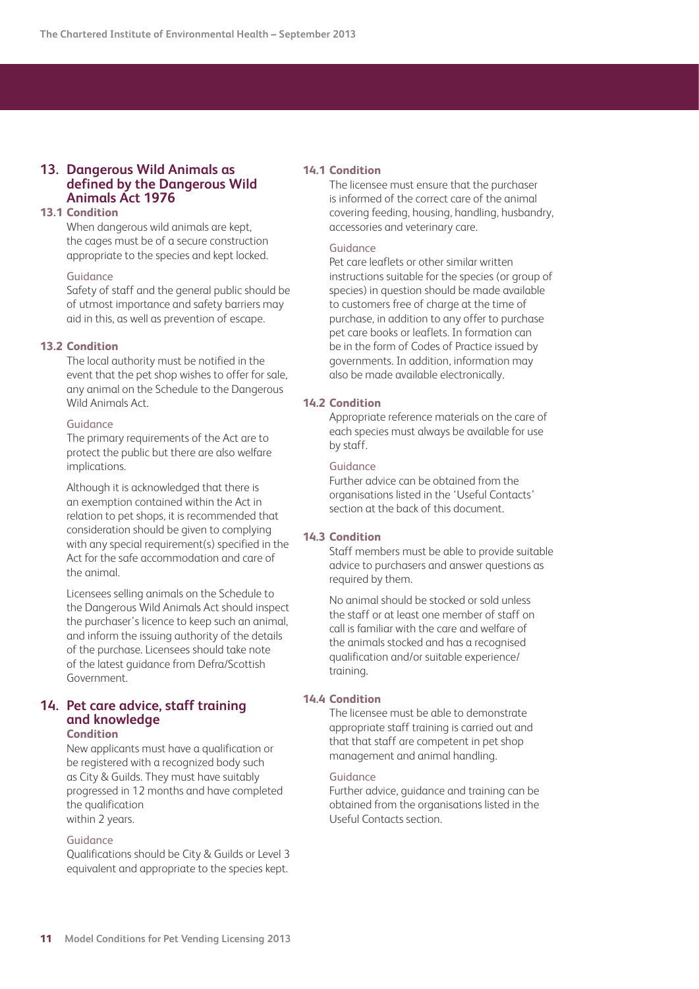## **13. Dangerous Wild Animals as defined by the Dangerous Wild Animals Act 1976**

## **13.1 Condition**

 When dangerous wild animals are kept, the cages must be of a secure construction appropriate to the species and kept locked.

#### Guidance

 Safety of staff and the general public should be of utmost importance and safety barriers may aid in this, as well as prevention of escape.

#### **13.2 Condition**

 The local authority must be notified in the event that the pet shop wishes to offer for sale, any animal on the Schedule to the Dangerous Wild Animals Act.

#### Guidance

 The primary requirements of the Act are to protect the public but there are also welfare implications.

 Although it is acknowledged that there is an exemption contained within the Act in relation to pet shops, it is recommended that consideration should be given to complying with any special requirement(s) specified in the Act for the safe accommodation and care of the animal.

 Licensees selling animals on the Schedule to the Dangerous Wild Animals Act should inspect the purchaser's licence to keep such an animal, and inform the issuing authority of the details of the purchase. Licensees should take note of the latest guidance from Defra/Scottish Government.

#### **14. Pet care advice, staff training and knowledge Condition**

 New applicants must have a qualification or be registered with a recognized body such as City & Guilds. They must have suitably progressed in 12 months and have completed the qualification within 2 years.

#### Guidance

Qualifications should be City & Guilds or Level 3 equivalent and appropriate to the species kept.

#### **14.1 Condition**

 The licensee must ensure that the purchaser is informed of the correct care of the animal covering feeding, housing, handling, husbandry, accessories and veterinary care.

#### Guidance

 Pet care leaflets or other similar written instructions suitable for the species (or group of species) in question should be made available to customers free of charge at the time of purchase, in addition to any offer to purchase pet care books or leaflets. In formation can be in the form of Codes of Practice issued by governments. In addition, information may also be made available electronically.

#### **14.2 Condition**

 Appropriate reference materials on the care of each species must always be available for use by staff.

#### Guidance

 Further advice can be obtained from the organisations listed in the 'Useful Contacts' section at the back of this document.

## **14.3 Condition**

 Staff members must be able to provide suitable advice to purchasers and answer questions as required by them.

 No animal should be stocked or sold unless the staff or at least one member of staff on call is familiar with the care and welfare of the animals stocked and has a recognised qualification and/or suitable experience/ training.

#### **14.4 Condition**

 The licensee must be able to demonstrate appropriate staff training is carried out and that that staff are competent in pet shop management and animal handling.

#### Guidance

 Further advice, guidance and training can be obtained from the organisations listed in the Useful Contacts section.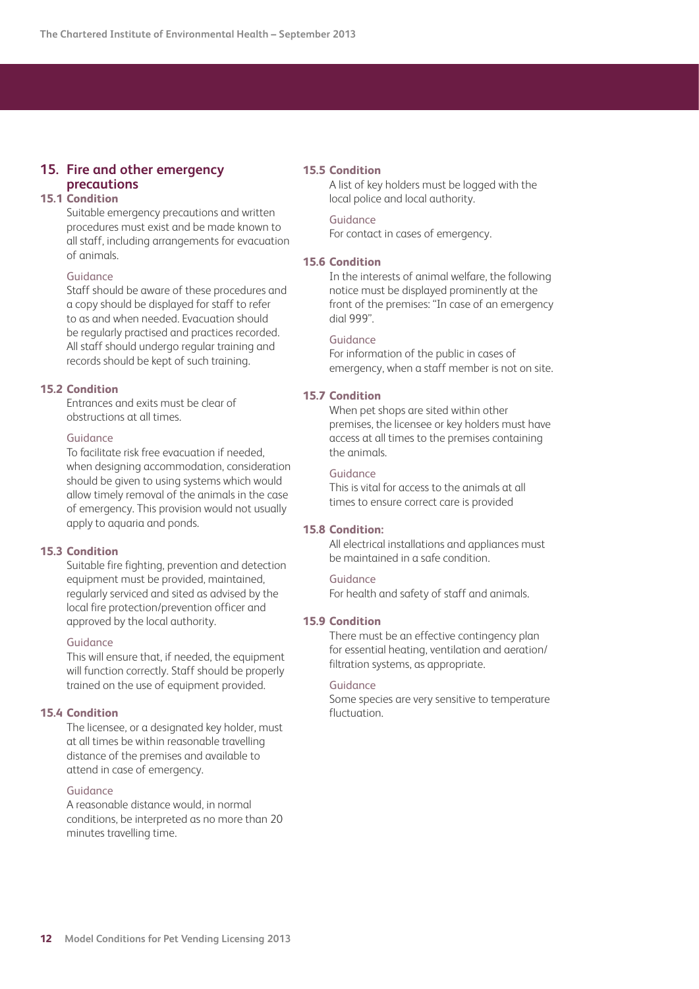## **15. Fire and other emergency precautions**

## **15.1 Condition**

 Suitable emergency precautions and written procedures must exist and be made known to all staff, including arrangements for evacuation of animals.

## Guidance

 Staff should be aware of these procedures and a copy should be displayed for staff to refer to as and when needed. Evacuation should be regularly practised and practices recorded. All staff should undergo regular training and records should be kept of such training.

## **15.2 Condition**

 Entrances and exits must be clear of obstructions at all times.

#### Guidance

 To facilitate risk free evacuation if needed, when designing accommodation, consideration should be given to using systems which would allow timely removal of the animals in the case of emergency. This provision would not usually apply to aquaria and ponds.

#### **15.3 Condition**

 Suitable fire fighting, prevention and detection equipment must be provided, maintained, regularly serviced and sited as advised by the local fire protection/prevention officer and approved by the local authority.

#### Guidance

 This will ensure that, if needed, the equipment will function correctly. Staff should be properly trained on the use of equipment provided.

#### **15.4 Condition**

 The licensee, or a designated key holder, must at all times be within reasonable travelling distance of the premises and available to attend in case of emergency.

#### Guidance

 A reasonable distance would, in normal conditions, be interpreted as no more than 20 minutes travelling time.

#### **15.5 Condition**

 A list of key holders must be logged with the local police and local authority.

#### Guidance

For contact in cases of emergency.

#### **15.6 Condition**

 In the interests of animal welfare, the following notice must be displayed prominently at the front of the premises: "In case of an emergency dial 999".

#### Guidance

 For information of the public in cases of emergency, when a staff member is not on site.

#### **15.7 Condition**

 When pet shops are sited within other premises, the licensee or key holders must have access at all times to the premises containing the animals.

#### Guidance

 This is vital for access to the animals at all times to ensure correct care is provided

#### **15.8 Condition:**

 All electrical installations and appliances must be maintained in a safe condition.

#### Guidance

For health and safety of staff and animals.

#### **15.9 Condition**

 There must be an effective contingency plan for essential heating, ventilation and aeration/ filtration systems, as appropriate.

#### Guidance

 Some species are very sensitive to temperature fluctuation.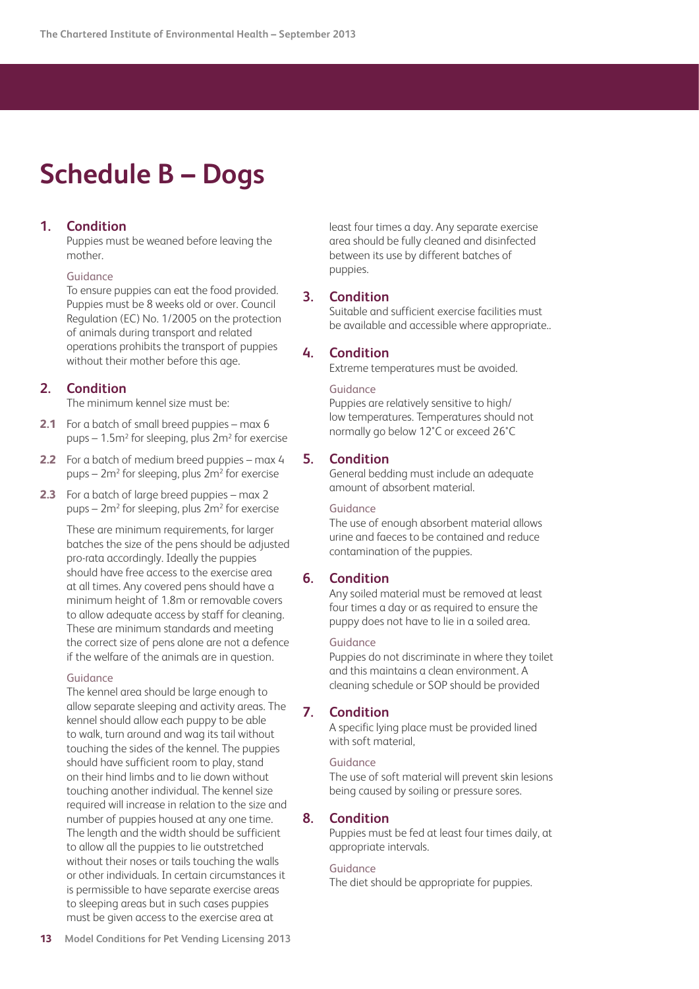## <span id="page-12-0"></span>**Schedule B – Dogs**

## **1. Condition**

 Puppies must be weaned before leaving the mother.

#### Guidance

 To ensure puppies can eat the food provided. Puppies must be 8 weeks old or over. Council Regulation (EC) No. 1/2005 on the protection of animals during transport and related operations prohibits the transport of puppies without their mother before this age.

## **2. Condition**

The minimum kennel size must be:

- **2.1** For a batch of small breed puppies max 6 pups –  $1.5$ m<sup>2</sup> for sleeping, plus  $2m^2$  for exercise
- **2.2** For a batch of medium breed puppies max 4 pups – 2m<sup>2</sup> for sleeping, plus 2m<sup>2</sup> for exercise
- **2.3** For a batch of large breed puppies max 2 pups – 2m<sup>2</sup> for sleeping, plus 2m<sup>2</sup> for exercise

 These are minimum requirements, for larger batches the size of the pens should be adjusted pro-rata accordingly. Ideally the puppies should have free access to the exercise area at all times. Any covered pens should have a minimum height of 1.8m or removable covers to allow adequate access by staff for cleaning. These are minimum standards and meeting the correct size of pens alone are not a defence if the welfare of the animals are in question.

#### Guidance

 The kennel area should be large enough to allow separate sleeping and activity areas. The kennel should allow each puppy to be able to walk, turn around and wag its tail without touching the sides of the kennel. The puppies should have sufficient room to play, stand on their hind limbs and to lie down without touching another individual. The kennel size required will increase in relation to the size and number of puppies housed at any one time. The length and the width should be sufficient to allow all the puppies to lie outstretched without their noses or tails touching the walls or other individuals. In certain circumstances it is permissible to have separate exercise areas to sleeping areas but in such cases puppies must be given access to the exercise area at

least four times a day. Any separate exercise area should be fully cleaned and disinfected between its use by different batches of puppies.

## **3. Condition**

 Suitable and sufficient exercise facilities must be available and accessible where appropriate..

## **4. Condition**

Extreme temperatures must be avoided.

#### Guidance

 Puppies are relatively sensitive to high/ low temperatures. Temperatures should not normally go below 12°C or exceed 26°C

## **5. Condition**

 General bedding must include an adequate amount of absorbent material.

#### Guidance

 The use of enough absorbent material allows urine and faeces to be contained and reduce contamination of the puppies.

## **6. Condition**

 Any soiled material must be removed at least four times a day or as required to ensure the puppy does not have to lie in a soiled area.

#### Guidance

 Puppies do not discriminate in where they toilet and this maintains a clean environment. A cleaning schedule or SOP should be provided

## **7. Condition**

 A specific lying place must be provided lined with soft material.

#### Guidance

 The use of soft material will prevent skin lesions being caused by soiling or pressure sores.

## **8. Condition**

 Puppies must be fed at least four times daily, at appropriate intervals.

#### Guidance

The diet should be appropriate for puppies.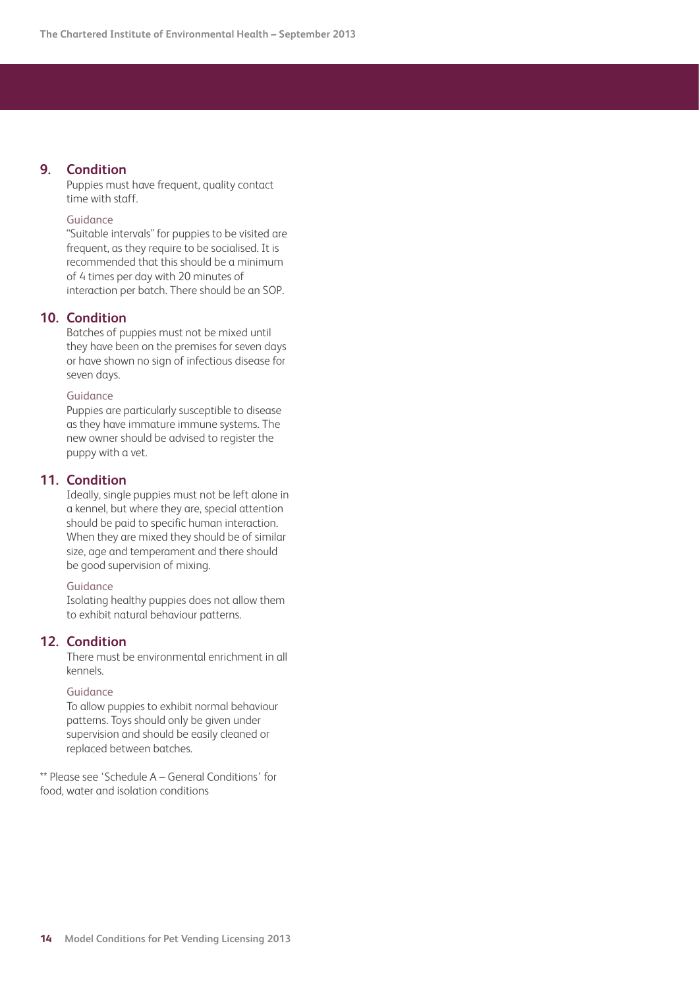## **9. Condition**

 Puppies must have frequent, quality contact time with staff.

#### Guidance

 "Suitable intervals" for puppies to be visited are frequent, as they require to be socialised. It is recommended that this should be a minimum of 4 times per day with 20 minutes of interaction per batch. There should be an SOP.

## **10. Condition**

 Batches of puppies must not be mixed until they have been on the premises for seven days or have shown no sign of infectious disease for seven days.

#### Guidance

 Puppies are particularly susceptible to disease as they have immature immune systems. The new owner should be advised to register the puppy with a vet.

### **11. Condition**

 Ideally, single puppies must not be left alone in a kennel, but where they are, special attention should be paid to specific human interaction. When they are mixed they should be of similar size, age and temperament and there should be good supervision of mixing.

#### Guidance

 Isolating healthy puppies does not allow them to exhibit natural behaviour patterns.

## **12. Condition**

 There must be environmental enrichment in all kennels.

#### Guidance

 To allow puppies to exhibit normal behaviour patterns. Toys should only be given under supervision and should be easily cleaned or replaced between batches.

\*\* Please see 'Schedule A – General Conditions' for food, water and isolation conditions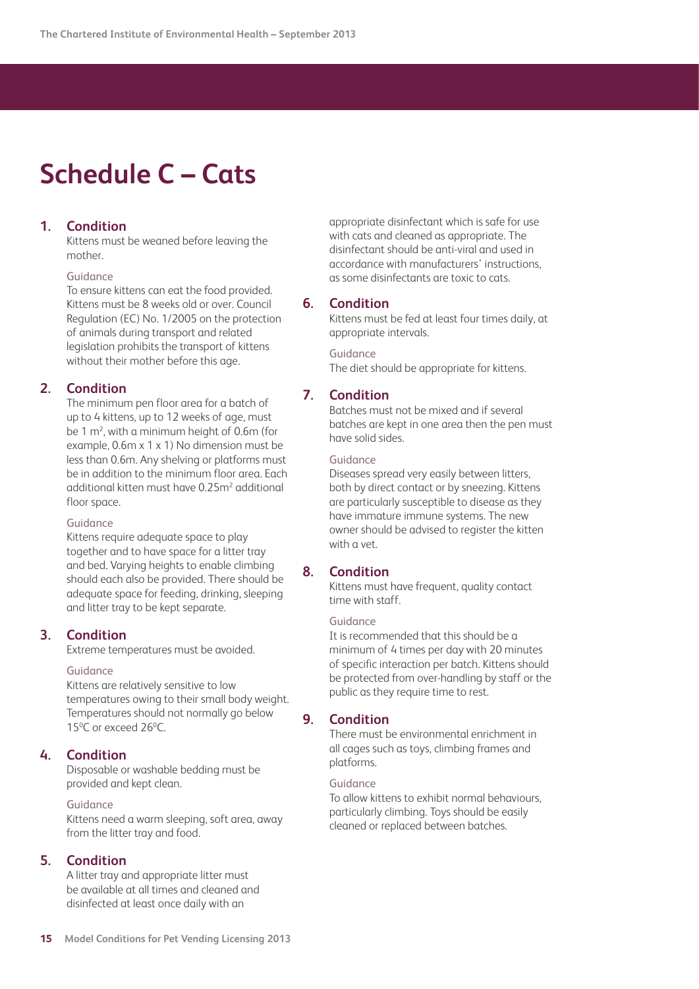## <span id="page-14-0"></span>**Schedule C – Cats**

## **1. Condition**

Kittens must be weaned before leaving the mother.

#### Guidance

 To ensure kittens can eat the food provided. Kittens must be 8 weeks old or over. Council Regulation (EC) No. 1/2005 on the protection of animals during transport and related legislation prohibits the transport of kittens without their mother before this age.

## **2. Condition**

 The minimum pen floor area for a batch of up to 4 kittens, up to 12 weeks of age, must be  $1 \text{ m}^2$ , with a minimum height of 0.6m (for example, 0.6m x 1 x 1) No dimension must be less than 0.6m. Any shelving or platforms must be in addition to the minimum floor area. Each additional kitten must have 0.25m<sup>2</sup> additional floor space.

#### Guidance

Kittens require adequate space to play together and to have space for a litter tray and bed. Varying heights to enable climbing should each also be provided. There should be adequate space for feeding, drinking, sleeping and litter tray to be kept separate.

## **3. Condition**

Extreme temperatures must be avoided.

#### Guidance

Kittens are relatively sensitive to low temperatures owing to their small body weight. Temperatures should not normally go below 15<sup>o</sup>C or exceed 26<sup>o</sup>C.

## **4. Condition**

 Disposable or washable bedding must be provided and kept clean.

#### Guidance

Kittens need a warm sleeping, soft area, away from the litter tray and food.

#### **5. Condition**

 A litter tray and appropriate litter must be available at all times and cleaned and disinfected at least once daily with an

appropriate disinfectant which is safe for use with cats and cleaned as appropriate. The disinfectant should be anti-viral and used in accordance with manufacturers' instructions, as some disinfectants are toxic to cats.

## **6. Condition**

Kittens must be fed at least four times daily, at appropriate intervals.

Guidance The diet should be appropriate for kittens.

## **7. Condition**

 Batches must not be mixed and if several batches are kept in one area then the pen must have solid sides.

#### Guidance

 Diseases spread very easily between litters, both by direct contact or by sneezing. Kittens are particularly susceptible to disease as they have immature immune systems. The new owner should be advised to register the kitten with a vet.

#### **8. Condition**

Kittens must have frequent, quality contact time with staff.

#### Guidance

 It is recommended that this should be a minimum of 4 times per day with 20 minutes of specific interaction per batch. Kittens should be protected from over-handling by staff or the public as they require time to rest.

#### **9. Condition**

 There must be environmental enrichment in all cages such as toys, climbing frames and platforms.

#### Guidance

 To allow kittens to exhibit normal behaviours, particularly climbing. Toys should be easily cleaned or replaced between batches.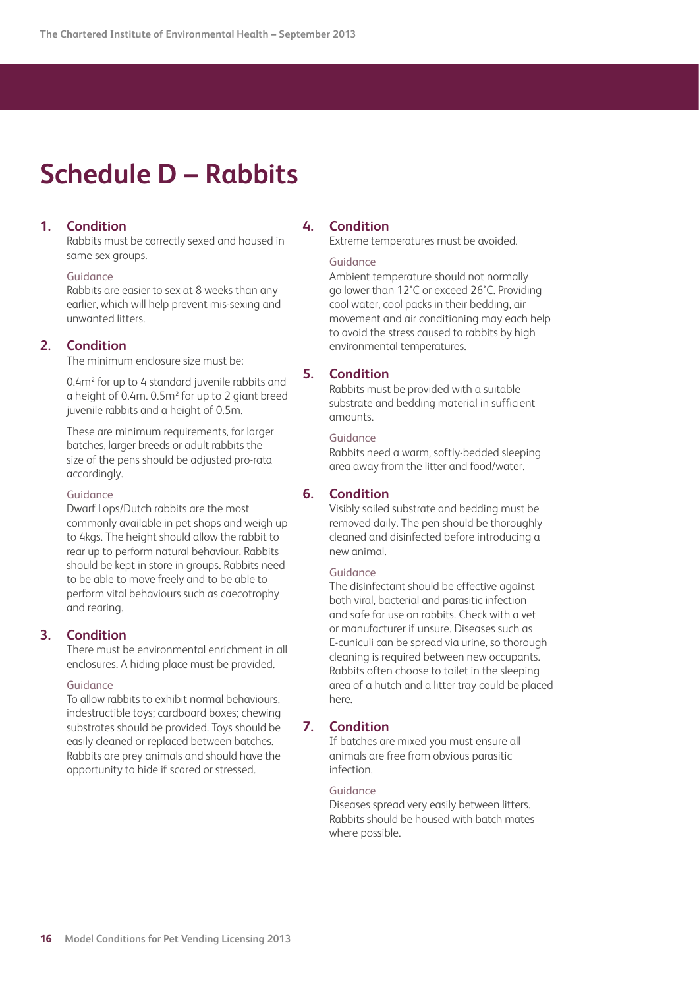## <span id="page-15-0"></span>**Schedule D – Rabbits**

## **1. Condition**

 Rabbits must be correctly sexed and housed in same sex groups.

#### Guidance

 Rabbits are easier to sex at 8 weeks than any earlier, which will help prevent mis-sexing and unwanted litters.

### **2. Condition**

The minimum enclosure size must be:

 0.4m² for up to 4 standard juvenile rabbits and a height of 0.4m. 0.5m² for up to 2 giant breed juvenile rabbits and a height of 0.5m.

 These are minimum requirements, for larger batches, larger breeds or adult rabbits the size of the pens should be adjusted pro-rata accordingly.

Guidance

 Dwarf Lops/Dutch rabbits are the most commonly available in pet shops and weigh up to 4kgs. The height should allow the rabbit to rear up to perform natural behaviour. Rabbits should be kept in store in groups. Rabbits need to be able to move freely and to be able to perform vital behaviours such as caecotrophy and rearing.

## **3. Condition**

 There must be environmental enrichment in all enclosures. A hiding place must be provided.

#### Guidance

 To allow rabbits to exhibit normal behaviours, indestructible toys; cardboard boxes; chewing substrates should be provided. Toys should be easily cleaned or replaced between batches. Rabbits are prey animals and should have the opportunity to hide if scared or stressed.

## **4. Condition**

Extreme temperatures must be avoided.

#### Guidance

 Ambient temperature should not normally go lower than 12°C or exceed 26°C. Providing cool water, cool packs in their bedding, air movement and air conditioning may each help to avoid the stress caused to rabbits by high environmental temperatures.

## **5. Condition**

 Rabbits must be provided with a suitable substrate and bedding material in sufficient amounts.

#### Guidance

 Rabbits need a warm, softly-bedded sleeping area away from the litter and food/water.

## **6. Condition**

 Visibly soiled substrate and bedding must be removed daily. The pen should be thoroughly cleaned and disinfected before introducing a new animal.

#### Guidance

 The disinfectant should be effective against both viral, bacterial and parasitic infection and safe for use on rabbits. Check with a vet or manufacturer if unsure. Diseases such as E-cuniculi can be spread via urine, so thorough cleaning is required between new occupants. Rabbits often choose to toilet in the sleeping area of a hutch and a litter tray could be placed here.

## **7. Condition**

 If batches are mixed you must ensure all animals are free from obvious parasitic infection.

#### Guidance

 Diseases spread very easily between litters. Rabbits should be housed with batch mates where possible.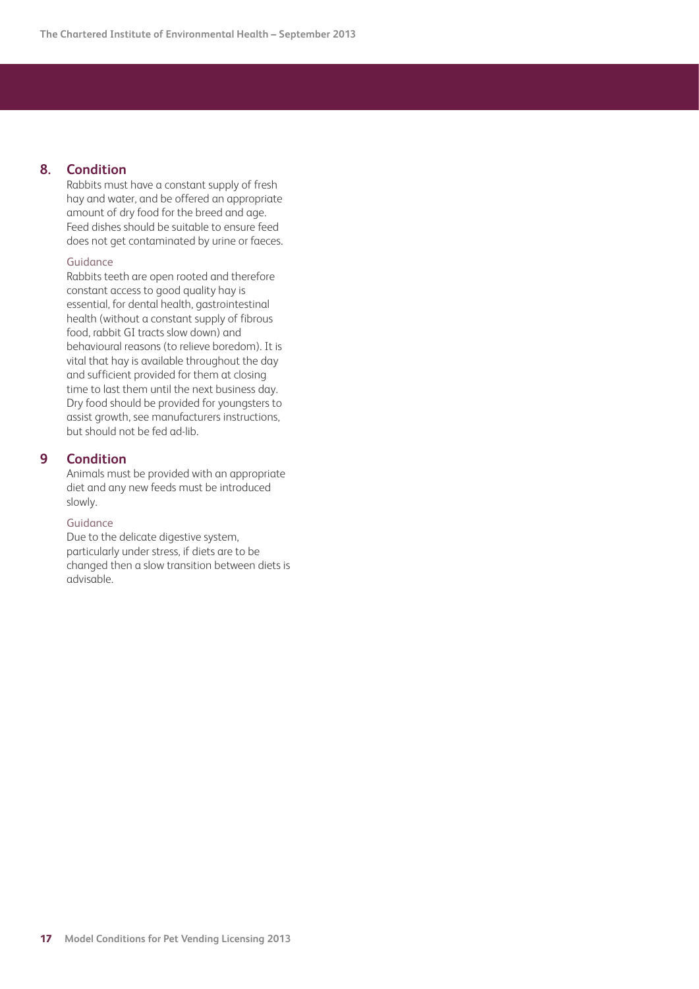## **8. Condition**

 Rabbits must have a constant supply of fresh hay and water, and be offered an appropriate amount of dry food for the breed and age. Feed dishes should be suitable to ensure feed does not get contaminated by urine or faeces.

#### Guidance

 Rabbits teeth are open rooted and therefore constant access to good quality hay is essential, for dental health, gastrointestinal health (without a constant supply of fibrous food, rabbit GI tracts slow down) and behavioural reasons (to relieve boredom). It is vital that hay is available throughout the day and sufficient provided for them at closing time to last them until the next business day. Dry food should be provided for youngsters to assist growth, see manufacturers instructions, but should not be fed ad-lib.

## **9 Condition**

 Animals must be provided with an appropriate diet and any new feeds must be introduced slowly.

### Guidance

 Due to the delicate digestive system, particularly under stress, if diets are to be changed then a slow transition between diets is advisable.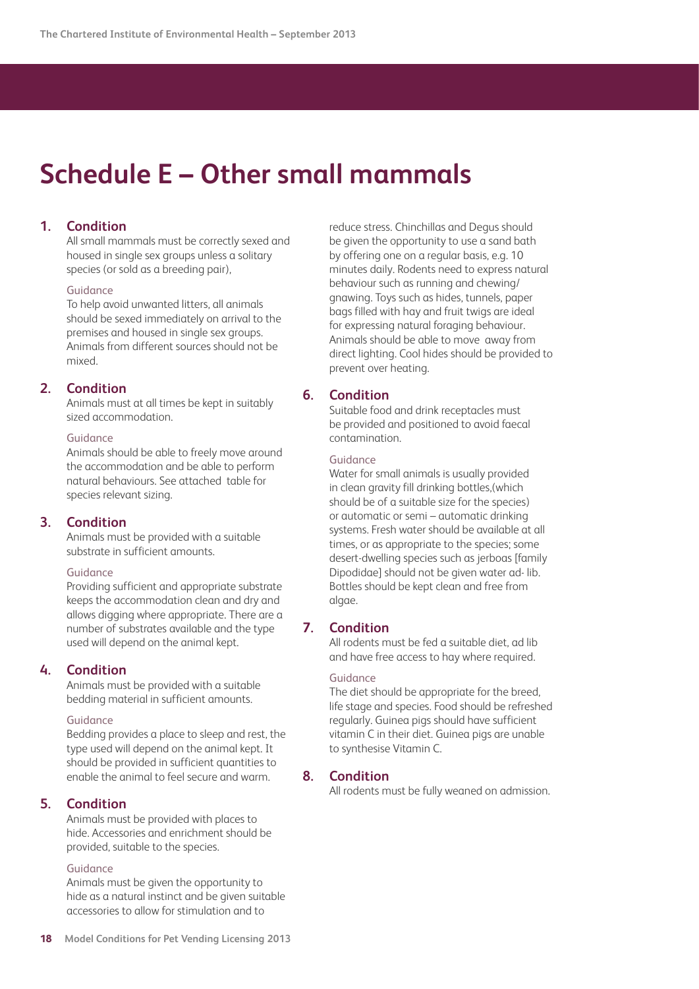## <span id="page-17-0"></span>**Schedule E – Other small mammals**

## **1. Condition**

 All small mammals must be correctly sexed and housed in single sex groups unless a solitary species (or sold as a breeding pair),

#### Guidance

 To help avoid unwanted litters, all animals should be sexed immediately on arrival to the premises and housed in single sex groups. Animals from different sources should not be mixed.

## **2. Condition**

 Animals must at all times be kept in suitably sized accommodation.

#### Guidance

 Animals should be able to freely move around the accommodation and be able to perform natural behaviours. See attached table for species relevant sizing.

## **3. Condition**

 Animals must be provided with a suitable substrate in sufficient amounts.

#### Guidance

 Providing sufficient and appropriate substrate keeps the accommodation clean and dry and allows digging where appropriate. There are a number of substrates available and the type used will depend on the animal kept.

## **4. Condition**

 Animals must be provided with a suitable bedding material in sufficient amounts.

#### Guidance

 Bedding provides a place to sleep and rest, the type used will depend on the animal kept. It should be provided in sufficient quantities to enable the animal to feel secure and warm.

## **5. Condition**

 Animals must be provided with places to hide. Accessories and enrichment should be provided, suitable to the species.

#### Guidance

 Animals must be given the opportunity to hide as a natural instinct and be given suitable accessories to allow for stimulation and to

reduce stress. Chinchillas and Degus should be given the opportunity to use a sand bath by offering one on a regular basis, e.g. 10 minutes daily. Rodents need to express natural behaviour such as running and chewing/ gnawing. Toys such as hides, tunnels, paper bags filled with hay and fruit twigs are ideal for expressing natural foraging behaviour. Animals should be able to move away from direct lighting. Cool hides should be provided to prevent over heating.

## **6. Condition**

 Suitable food and drink receptacles must be provided and positioned to avoid faecal contamination.

#### Guidance

 Water for small animals is usually provided in clean gravity fill drinking bottles,(which should be of a suitable size for the species) or automatic or semi – automatic drinking systems. Fresh water should be available at all times, or as appropriate to the species; some desert-dwelling species such as jerboas [family Dipodidae] should not be given water ad- lib. Bottles should be kept clean and free from algae.

## **7. Condition**

 All rodents must be fed a suitable diet, ad lib and have free access to hay where required.

#### Guidance

 The diet should be appropriate for the breed, life stage and species. Food should be refreshed regularly. Guinea pigs should have sufficient vitamin C in their diet. Guinea pigs are unable to synthesise Vitamin C.

#### **8. Condition**

All rodents must be fully weaned on admission.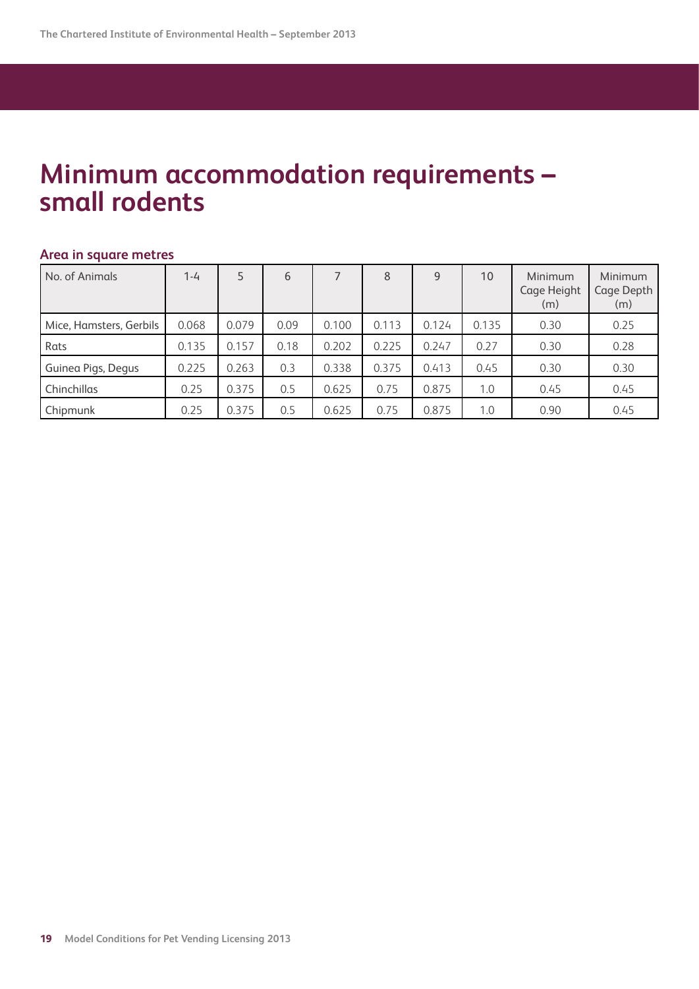## **Minimum accommodation requirements – small rodents**

## **Area in square metres**

| No. of Animals          | $1 - 4$ | 5     | 6    |       | 8     | 9     | 10    | <b>Minimum</b><br>Cage Height<br>(m) | <b>Minimum</b><br>Cage Depth<br>(m) |
|-------------------------|---------|-------|------|-------|-------|-------|-------|--------------------------------------|-------------------------------------|
| Mice, Hamsters, Gerbils | 0.068   | 0.079 | 0.09 | 0.100 | 0.113 | 0.124 | 0.135 | 0.30                                 | 0.25                                |
| Rats                    | 0.135   | 0.157 | 0.18 | 0.202 | 0.225 | 0.247 | 0.27  | 0.30                                 | 0.28                                |
| Guinea Pigs, Degus      | 0.225   | 0.263 | 0.3  | 0.338 | 0.375 | 0.413 | 0.45  | 0.30                                 | 0.30                                |
| Chinchillas             | 0.25    | 0.375 | 0.5  | 0.625 | 0.75  | 0.875 | 1.0   | 0.45                                 | 0.45                                |
| Chipmunk                | 0.25    | 0.375 | 0.5  | 0.625 | 0.75  | 0.875 | 1.0   | 0.90                                 | 0.45                                |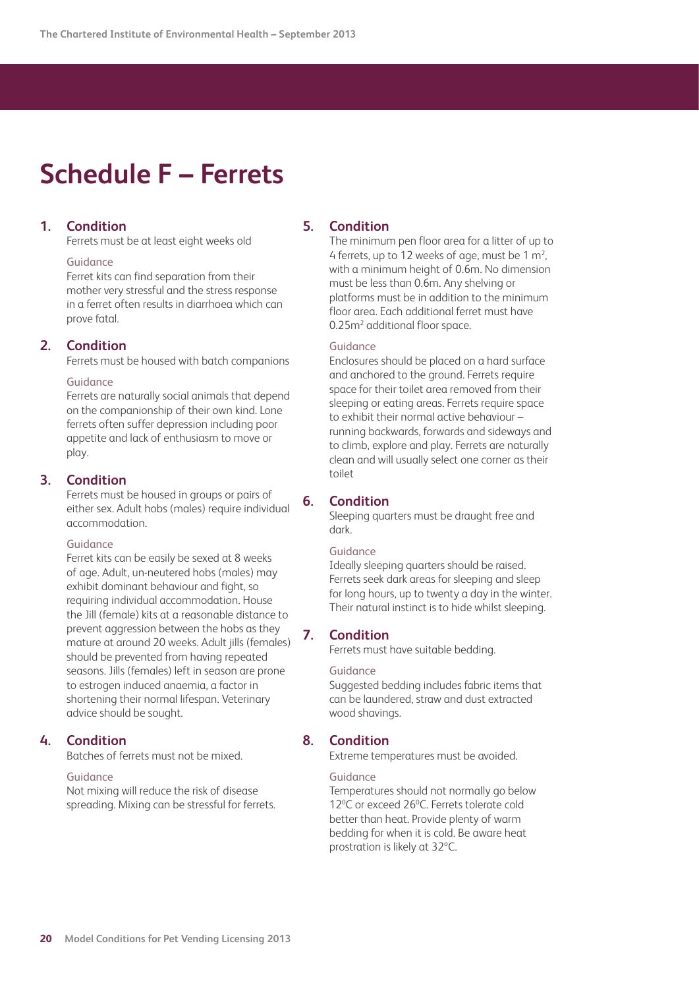## <span id="page-19-0"></span>**Schedule F – Ferrets**

## **1. Condition**

Ferrets must be at least eight weeks old

#### Guidance

 Ferret kits can find separation from their mother very stressful and the stress response in a ferret often results in diarrhoea which can prove fatal.

#### **2. Condition**

Ferrets must be housed with batch companions

#### Guidance

 Ferrets are naturally social animals that depend on the companionship of their own kind. Lone ferrets often suffer depression including poor appetite and lack of enthusiasm to move or play.

### **3. Condition**

 Ferrets must be housed in groups or pairs of either sex. Adult hobs (males) require individual accommodation.

#### Guidance

 Ferret kits can be easily be sexed at 8 weeks of age. Adult, un-neutered hobs (males) may exhibit dominant behaviour and fight, so requiring individual accommodation. House the Jill (female) kits at a reasonable distance to prevent aggression between the hobs as they mature at around 20 weeks. Adult jills (females) should be prevented from having repeated seasons. Jills (females) left in season are prone to estrogen induced anaemia, a factor in shortening their normal lifespan. Veterinary advice should be sought.

## **4. Condition**

Batches of ferrets must not be mixed.

### Guidance

 Not mixing will reduce the risk of disease spreading. Mixing can be stressful for ferrets.

## **5. Condition**

 The minimum pen floor area for a litter of up to 4 ferrets, up to 12 weeks of age, must be 1  $m<sup>2</sup>$ , with a minimum height of 0.6m. No dimension must be less than 0.6m. Any shelving or platforms must be in addition to the minimum floor area. Each additional ferret must have 0.25m<sup>2</sup> additional floor space.

#### Guidance

 Enclosures should be placed on a hard surface and anchored to the ground. Ferrets require space for their toilet area removed from their sleeping or eating areas. Ferrets require space to exhibit their normal active behaviour – running backwards, forwards and sideways and to climb, explore and play. Ferrets are naturally clean and will usually select one corner as their toilet

## **6. Condition**

 Sleeping quarters must be draught free and dark.

#### Guidance

 Ideally sleeping quarters should be raised. Ferrets seek dark areas for sleeping and sleep for long hours, up to twenty a day in the winter. Their natural instinct is to hide whilst sleeping.

## **7. Condition**

Ferrets must have suitable bedding.

#### Guidance

 Suggested bedding includes fabric items that can be laundered, straw and dust extracted wood shavings.

## **8. Condition**

Extreme temperatures must be avoided.

#### Guidance

 Temperatures should not normally go below 12<sup>o</sup>C or exceed 26<sup>o</sup>C. Ferrets tolerate cold better than heat. Provide plenty of warm bedding for when it is cold. Be aware heat prostration is likely at 32ºC.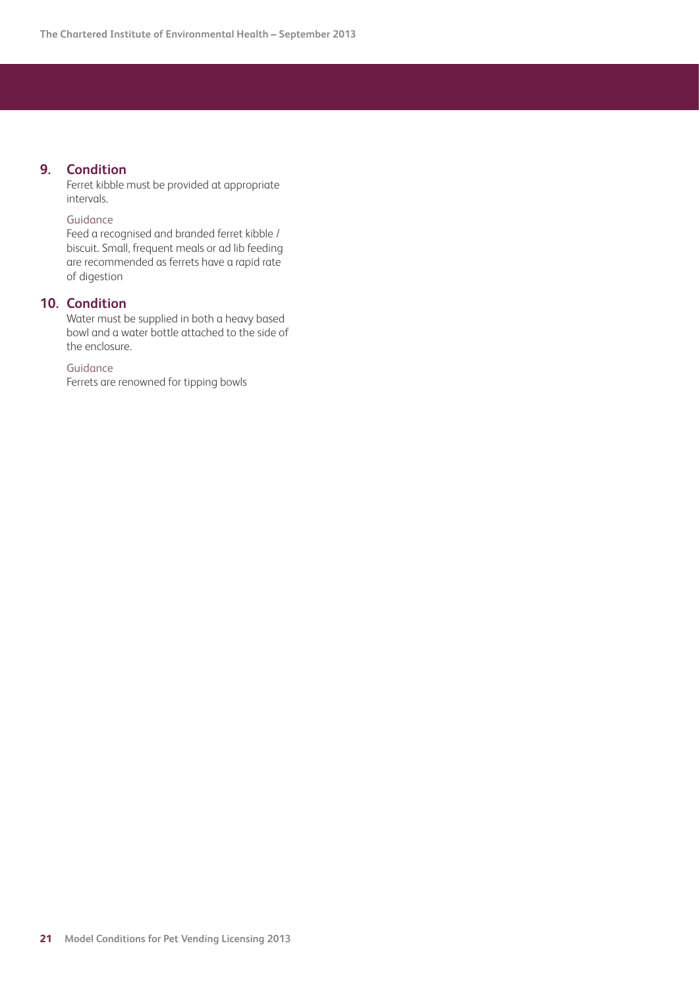## **9. Condition**

 Ferret kibble must be provided at appropriate intervals.

## Guidance

 Feed a recognised and branded ferret kibble / biscuit. Small, frequent meals or ad lib feeding are recommended as ferrets have a rapid rate of digestion

## **10. Condition**

 Water must be supplied in both a heavy based bowl and a water bottle attached to the side of the enclosure.

## Guidance

Ferrets are renowned for tipping bowls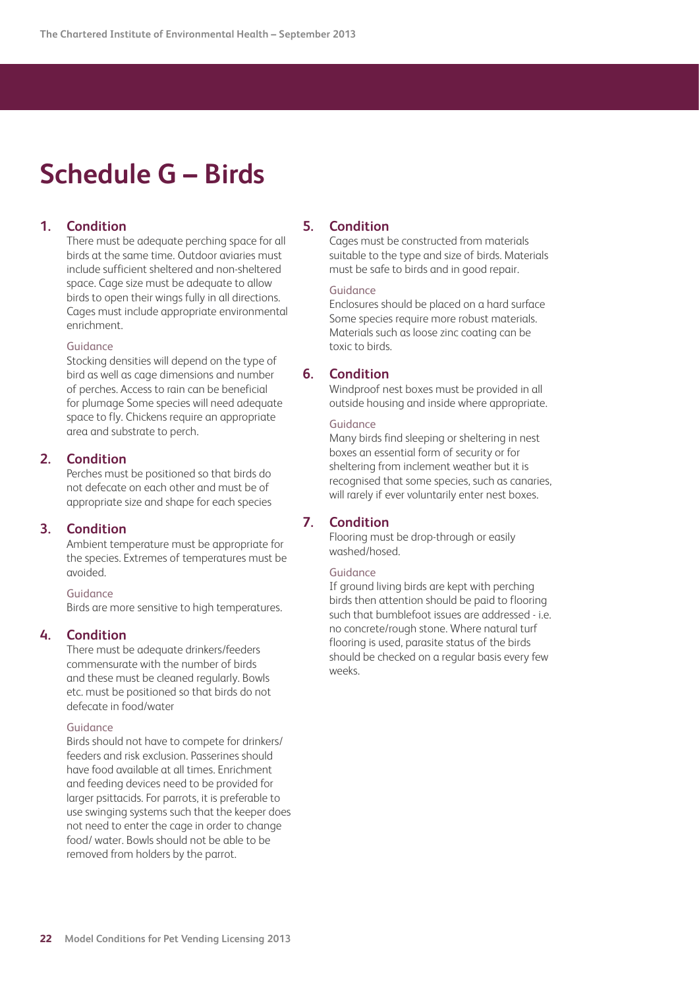## <span id="page-21-0"></span>**Schedule G – Birds**

## **1. Condition**

 There must be adequate perching space for all birds at the same time. Outdoor aviaries must include sufficient sheltered and non-sheltered space. Cage size must be adequate to allow birds to open their wings fully in all directions. Cages must include appropriate environmental enrichment.

#### Guidance

 Stocking densities will depend on the type of bird as well as cage dimensions and number of perches. Access to rain can be beneficial for plumage Some species will need adequate space to fly. Chickens require an appropriate area and substrate to perch.

## **2. Condition**

 Perches must be positioned so that birds do not defecate on each other and must be of appropriate size and shape for each species

## **3. Condition**

 Ambient temperature must be appropriate for the species. Extremes of temperatures must be avoided.

#### Guidance

Birds are more sensitive to high temperatures.

#### **4. Condition**

 There must be adequate drinkers/feeders commensurate with the number of birds and these must be cleaned regularly. Bowls etc. must be positioned so that birds do not defecate in food/water

#### Guidance

 Birds should not have to compete for drinkers/ feeders and risk exclusion. Passerines should have food available at all times. Enrichment and feeding devices need to be provided for larger psittacids. For parrots, it is preferable to use swinging systems such that the keeper does not need to enter the cage in order to change food/ water. Bowls should not be able to be removed from holders by the parrot.

### **5. Condition**

 Cages must be constructed from materials suitable to the type and size of birds. Materials must be safe to birds and in good repair.

#### Guidance

 Enclosures should be placed on a hard surface Some species require more robust materials. Materials such as loose zinc coating can be toxic to birds.

#### **6. Condition**

 Windproof nest boxes must be provided in all outside housing and inside where appropriate.

#### Guidance

 Many birds find sleeping or sheltering in nest boxes an essential form of security or for sheltering from inclement weather but it is recognised that some species, such as canaries, will rarely if ever voluntarily enter nest boxes.

## **7. Condition**

 Flooring must be drop-through or easily washed/hosed.

#### Guidance

 If ground living birds are kept with perching birds then attention should be paid to flooring such that bumblefoot issues are addressed - i.e. no concrete/rough stone. Where natural turf flooring is used, parasite status of the birds should be checked on a regular basis every few weeks.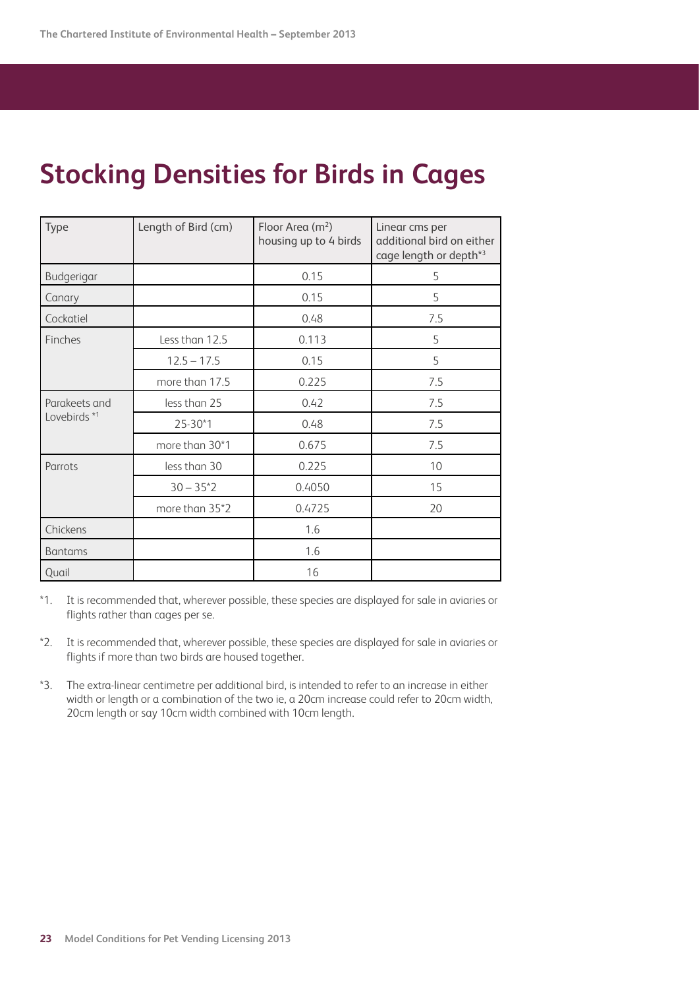## **Stocking Densities for Birds in Cages**

| Type                          | Length of Bird (cm) | Floor Area $(m^2)$<br>housing up to 4 birds | Linear cms per<br>additional bird on either<br>cage length or depth*3 |
|-------------------------------|---------------------|---------------------------------------------|-----------------------------------------------------------------------|
| Budgerigar                    |                     | 0.15                                        | 5                                                                     |
| Canary                        |                     | 0.15                                        | 5                                                                     |
| Cockatiel                     |                     | 0.48                                        | 7.5                                                                   |
| Finches                       | Less than 12.5      | 0.113                                       | 5                                                                     |
|                               | $12.5 - 17.5$       | 0.15                                        | 5                                                                     |
|                               | more than 17.5      | 0.225                                       | 7.5                                                                   |
| Parakeets and<br>Lovebirds *1 | less than 25        | 0.42                                        | 7.5                                                                   |
|                               | 25-30*1             | 0.48                                        | 7.5                                                                   |
|                               | more than 30*1      | 0.675                                       | 7.5                                                                   |
| Parrots                       | less than 30        | 0.225                                       | 10                                                                    |
|                               | $30 - 35^*2$        | 0.4050                                      | 15                                                                    |
|                               | more than 35*2      | 0.4725                                      | 20                                                                    |
| Chickens                      |                     | 1.6                                         |                                                                       |
| <b>Bantams</b>                |                     | 1.6                                         |                                                                       |
| Quail                         |                     | 16                                          |                                                                       |

\*1. It is recommended that, wherever possible, these species are displayed for sale in aviaries or flights rather than cages per se.

- \*2. It is recommended that, wherever possible, these species are displayed for sale in aviaries or flights if more than two birds are housed together.
- \*3. The extra-linear centimetre per additional bird, is intended to refer to an increase in either width or length or a combination of the two ie, a 20cm increase could refer to 20cm width, 20cm length or say 10cm width combined with 10cm length.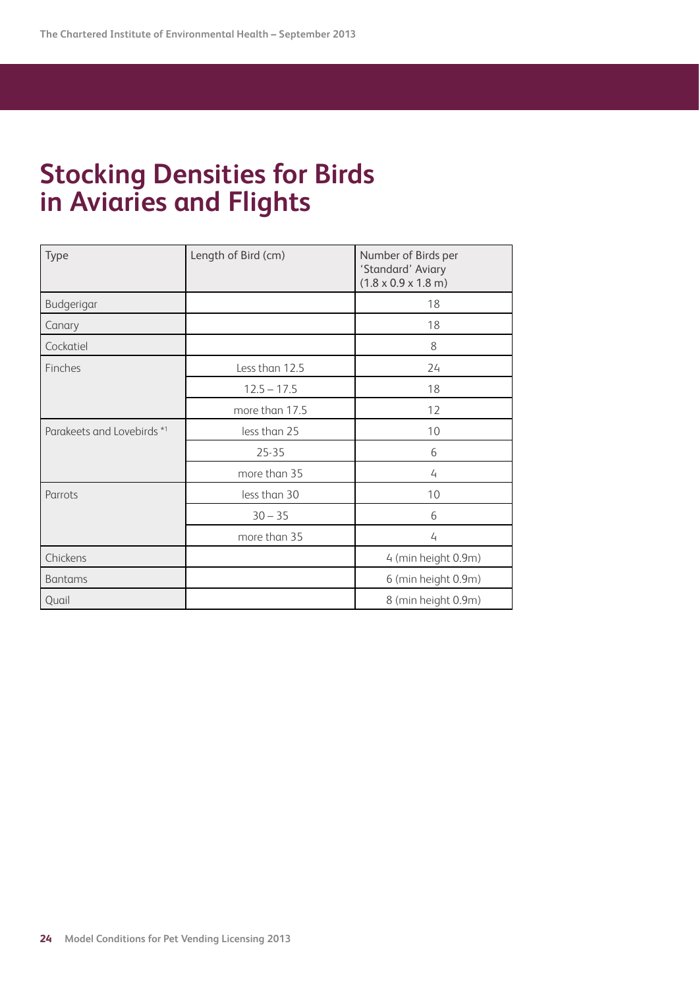## **Stocking Densities for Birds in Aviaries and Flights**

| Type                       | Length of Bird (cm) | Number of Birds per<br>'Standard' Aviary<br>$(1.8 \times 0.9 \times 1.8 \text{ m})$ |
|----------------------------|---------------------|-------------------------------------------------------------------------------------|
| Budgerigar                 |                     | 18                                                                                  |
| Canary                     |                     | 18                                                                                  |
| Cockatiel                  |                     | 8                                                                                   |
| Finches                    | Less than 12.5      | 24                                                                                  |
|                            | $12.5 - 17.5$       | 18                                                                                  |
|                            | more than 17.5      | 12                                                                                  |
| Parakeets and Lovebirds *1 | less than 25        | 10                                                                                  |
|                            | $25 - 35$           | 6                                                                                   |
|                            | more than 35        | 4                                                                                   |
| Parrots                    | less than 30        | 10                                                                                  |
|                            | $30 - 35$           | 6                                                                                   |
|                            | more than 35        | $\overline{4}$                                                                      |
| Chickens                   |                     | 4 (min height 0.9m)                                                                 |
| <b>Bantams</b>             |                     | 6 (min height 0.9m)                                                                 |
| Quail                      |                     | 8 (min height 0.9m)                                                                 |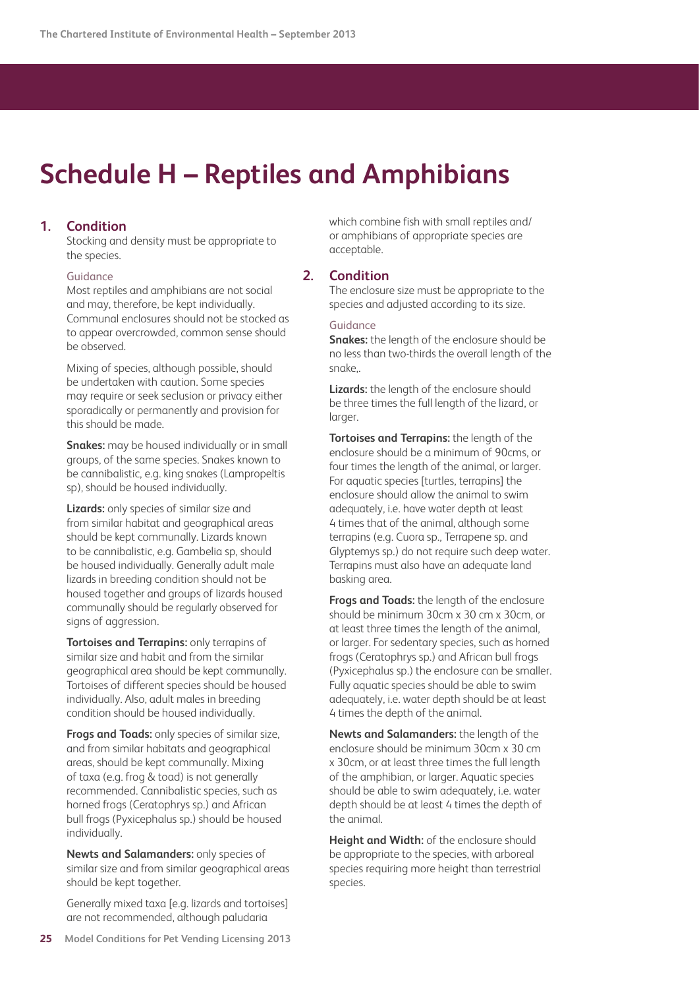## <span id="page-24-0"></span>**Schedule H – Reptiles and Amphibians**

## **1. Condition**

 Stocking and density must be appropriate to the species.

#### Guidance

 Most reptiles and amphibians are not social and may, therefore, be kept individually. Communal enclosures should not be stocked as to appear overcrowded, common sense should be observed.

 Mixing of species, although possible, should be undertaken with caution. Some species may require or seek seclusion or privacy either sporadically or permanently and provision for this should be made.

 **Snakes:** may be housed individually or in small groups, of the same species. Snakes known to be cannibalistic, e.g. king snakes (Lampropeltis sp), should be housed individually.

 **Lizards:** only species of similar size and from similar habitat and geographical areas should be kept communally. Lizards known to be cannibalistic, e.g. Gambelia sp, should be housed individually. Generally adult male lizards in breeding condition should not be housed together and groups of lizards housed communally should be regularly observed for signs of aggression.

 **Tortoises and Terrapins:** only terrapins of similar size and habit and from the similar geographical area should be kept communally. Tortoises of different species should be housed individually. Also, adult males in breeding condition should be housed individually.

 **Frogs and Toads:** only species of similar size, and from similar habitats and geographical areas, should be kept communally. Mixing of taxa (e.g. frog & toad) is not generally recommended. Cannibalistic species, such as horned frogs (Ceratophrys sp.) and African bull frogs (Pyxicephalus sp.) should be housed individually.

 **Newts and Salamanders:** only species of similar size and from similar geographical areas should be kept together.

 Generally mixed taxa [e.g. lizards and tortoises] are not recommended, although paludaria

which combine fish with small reptiles and/ or amphibians of appropriate species are acceptable.

## **2. Condition**

 The enclosure size must be appropriate to the species and adjusted according to its size.

#### Guidance

 **Snakes:** the length of the enclosure should be no less than two-thirds the overall length of the snake,.

 **Lizards:** the length of the enclosure should be three times the full length of the lizard, or larger.

 **Tortoises and Terrapins:** the length of the enclosure should be a minimum of 90cms, or four times the length of the animal, or larger. For aquatic species [turtles, terrapins] the enclosure should allow the animal to swim adequately, i.e. have water depth at least 4 times that of the animal, although some terrapins (e.g. Cuora sp., Terrapene sp. and Glyptemys sp.) do not require such deep water. Terrapins must also have an adequate land basking area.

 **Frogs and Toads:** the length of the enclosure should be minimum 30cm x 30 cm x 30cm, or at least three times the length of the animal, or larger. For sedentary species, such as horned frogs (Ceratophrys sp.) and African bull frogs (Pyxicephalus sp.) the enclosure can be smaller. Fully aquatic species should be able to swim adequately, i.e. water depth should be at least 4 times the depth of the animal.

 **Newts and Salamanders:** the length of the enclosure should be minimum 30cm x 30 cm x 30cm, or at least three times the full length of the amphibian, or larger. Aquatic species should be able to swim adequately, i.e. water depth should be at least 4 times the depth of the animal.

 **Height and Width:** of the enclosure should be appropriate to the species, with arboreal species requiring more height than terrestrial species.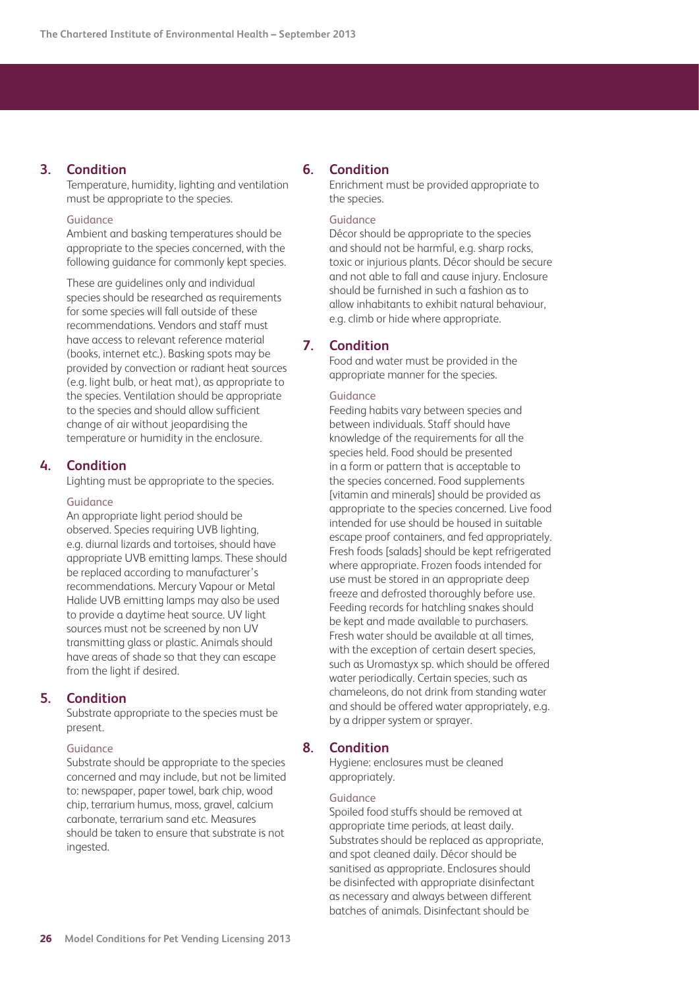## **3. Condition**

 Temperature, humidity, lighting and ventilation must be appropriate to the species.

#### Guidance

 Ambient and basking temperatures should be appropriate to the species concerned, with the following guidance for commonly kept species.

 These are guidelines only and individual species should be researched as requirements for some species will fall outside of these recommendations. Vendors and staff must have access to relevant reference material (books, internet etc.). Basking spots may be provided by convection or radiant heat sources (e.g. light bulb, or heat mat), as appropriate to the species. Ventilation should be appropriate to the species and should allow sufficient change of air without jeopardising the temperature or humidity in the enclosure.

## **4. Condition**

Lighting must be appropriate to the species.

#### Guidance

 An appropriate light period should be observed. Species requiring UVB lighting, e.g. diurnal lizards and tortoises, should have appropriate UVB emitting lamps. These should be replaced according to manufacturer's recommendations. Mercury Vapour or Metal Halide UVB emitting lamps may also be used to provide a daytime heat source. UV light sources must not be screened by non UV transmitting glass or plastic. Animals should have areas of shade so that they can escape from the light if desired.

## **5. Condition**

 Substrate appropriate to the species must be present.

#### Guidance

 Substrate should be appropriate to the species concerned and may include, but not be limited to: newspaper, paper towel, bark chip, wood chip, terrarium humus, moss, gravel, calcium carbonate, terrarium sand etc. Measures should be taken to ensure that substrate is not ingested.

## **6. Condition**

 Enrichment must be provided appropriate to the species.

#### Guidance

 Décor should be appropriate to the species and should not be harmful, e.g. sharp rocks, toxic or injurious plants. Décor should be secure and not able to fall and cause injury. Enclosure should be furnished in such a fashion as to allow inhabitants to exhibit natural behaviour, e.g. climb or hide where appropriate.

## **7. Condition**

 Food and water must be provided in the appropriate manner for the species.

#### Guidance

 Feeding habits vary between species and between individuals. Staff should have knowledge of the requirements for all the species held. Food should be presented in a form or pattern that is acceptable to the species concerned. Food supplements [vitamin and minerals] should be provided as appropriate to the species concerned. Live food intended for use should be housed in suitable escape proof containers, and fed appropriately. Fresh foods [salads] should be kept refrigerated where appropriate. Frozen foods intended for use must be stored in an appropriate deep freeze and defrosted thoroughly before use. Feeding records for hatchling snakes should be kept and made available to purchasers. Fresh water should be available at all times, with the exception of certain desert species, such as Uromastyx sp. which should be offered water periodically. Certain species, such as chameleons, do not drink from standing water and should be offered water appropriately, e.g. by a dripper system or sprayer.

#### **8. Condition**

 Hygiene: enclosures must be cleaned appropriately.

#### Guidance

 Spoiled food stuffs should be removed at appropriate time periods, at least daily. Substrates should be replaced as appropriate, and spot cleaned daily. Décor should be sanitised as appropriate. Enclosures should be disinfected with appropriate disinfectant as necessary and always between different batches of animals. Disinfectant should be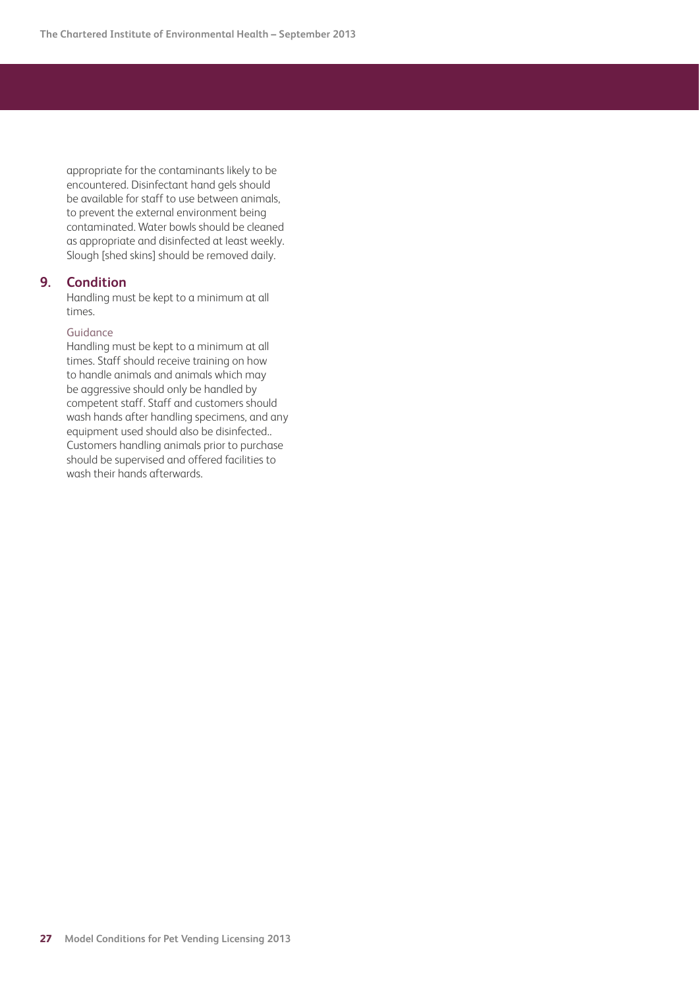appropriate for the contaminants likely to be encountered. Disinfectant hand gels should be available for staff to use between animals, to prevent the external environment being contaminated. Water bowls should be cleaned as appropriate and disinfected at least weekly. Slough [shed skins] should be removed daily.

## **9. Condition**

 Handling must be kept to a minimum at all times.

#### Guidance

 Handling must be kept to a minimum at all times. Staff should receive training on how to handle animals and animals which may be aggressive should only be handled by competent staff. Staff and customers should wash hands after handling specimens, and any equipment used should also be disinfected.. Customers handling animals prior to purchase should be supervised and offered facilities to wash their hands afterwards.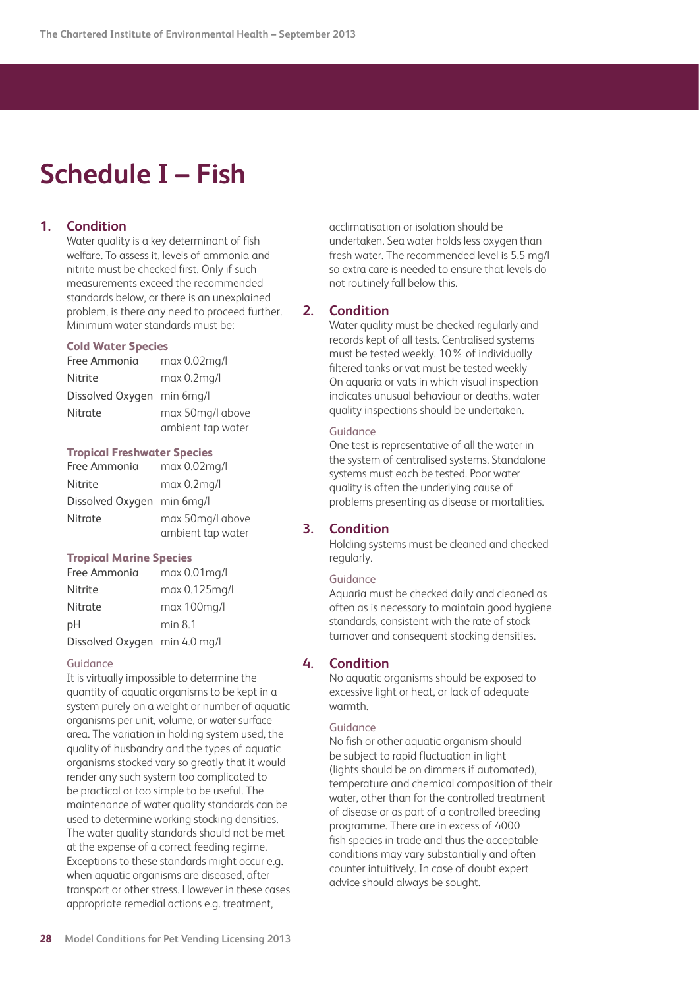## <span id="page-27-0"></span>**Schedule I – Fish**

## **1. Condition**

 Water quality is a key determinant of fish welfare. To assess it, levels of ammonia and nitrite must be checked first. Only if such measurements exceed the recommended standards below, or there is an unexplained problem, is there any need to proceed further. Minimum water standards must be:

#### **Cold Water Species**

| Free Ammonia               | $max 0.02$ mg/l   |
|----------------------------|-------------------|
| <b>Nitrite</b>             | $max 0.2$ mg/l    |
| Dissolved Oxygen min 6mg/l |                   |
| Nitrate                    | max 50mg/l above  |
|                            | ambient tap water |

#### **Tropical Freshwater Species**

| Free Ammonia               | $max 0.02$ mg/l   |
|----------------------------|-------------------|
| <b>Nitrite</b>             | $max 0.2$ mg/l    |
| Dissolved Oxygen min 6mg/l |                   |
| Nitrate                    | max 50mg/l above  |
|                            | ambient tap water |

#### **Tropical Marine Species**

| Free Ammonia                  | max 0.01 mg/l    |
|-------------------------------|------------------|
| <b>Nitrite</b>                | $max 0.125$ mg/l |
| Nitrate                       | max 100mg/l      |
| рH                            | min 8.1          |
| Dissolved Oxygen min 4.0 mg/l |                  |

#### Guidance

 It is virtually impossible to determine the quantity of aquatic organisms to be kept in a system purely on a weight or number of aquatic organisms per unit, volume, or water surface area. The variation in holding system used, the quality of husbandry and the types of aquatic organisms stocked vary so greatly that it would render any such system too complicated to be practical or too simple to be useful. The maintenance of water quality standards can be used to determine working stocking densities. The water quality standards should not be met at the expense of a correct feeding regime. Exceptions to these standards might occur e.g. when aquatic organisms are diseased, after transport or other stress. However in these cases appropriate remedial actions e.g. treatment,

acclimatisation or isolation should be undertaken. Sea water holds less oxygen than fresh water. The recommended level is 5.5 mg/l so extra care is needed to ensure that levels do not routinely fall below this.

## **2. Condition**

 Water quality must be checked regularly and records kept of all tests. Centralised systems must be tested weekly. 10% of individually filtered tanks or vat must be tested weekly On aquaria or vats in which visual inspection indicates unusual behaviour or deaths, water quality inspections should be undertaken.

#### Guidance

 One test is representative of all the water in the system of centralised systems. Standalone systems must each be tested. Poor water quality is often the underlying cause of problems presenting as disease or mortalities.

## **3. Condition**

 Holding systems must be cleaned and checked regularly.

#### Guidance

 Aquaria must be checked daily and cleaned as often as is necessary to maintain good hygiene standards, consistent with the rate of stock turnover and consequent stocking densities.

## **4. Condition**

 No aquatic organisms should be exposed to excessive light or heat, or lack of adequate warmth.

#### Guidance

 No fish or other aquatic organism should be subject to rapid fluctuation in light (lights should be on dimmers if automated), temperature and chemical composition of their water, other than for the controlled treatment of disease or as part of a controlled breeding programme. There are in excess of 4000 fish species in trade and thus the acceptable conditions may vary substantially and often counter intuitively. In case of doubt expert advice should always be sought.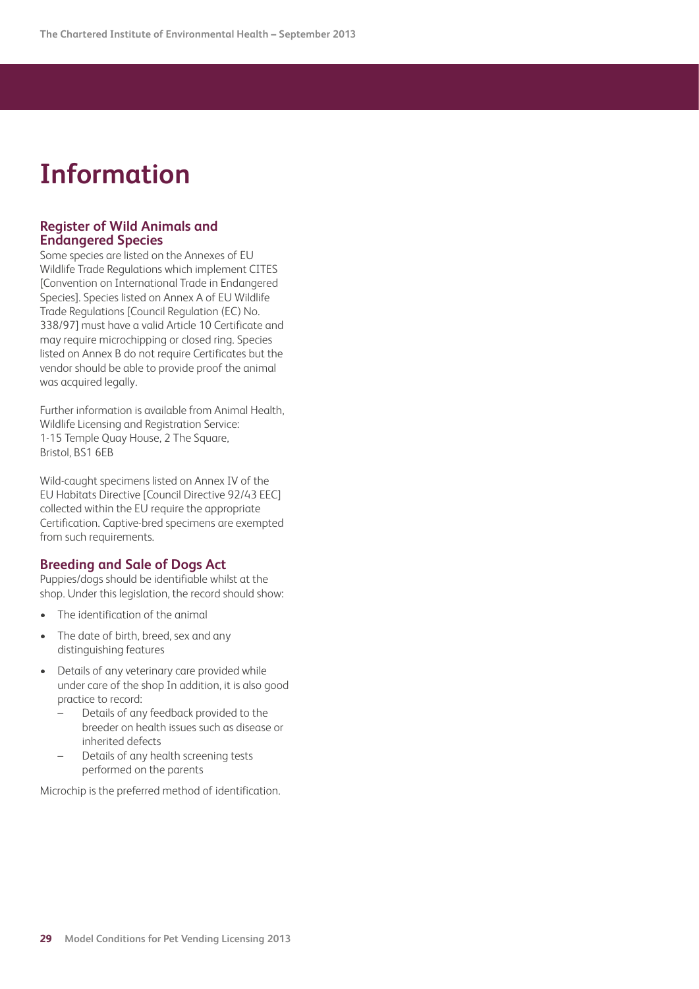## <span id="page-28-0"></span>**Information**

## **Register of Wild Animals and Endangered Species**

Some species are listed on the Annexes of EU Wildlife Trade Regulations which implement CITES [Convention on International Trade in Endangered Species]. Species listed on Annex A of EU Wildlife Trade Regulations [Council Regulation (EC) No. 338/97] must have a valid Article 10 Certificate and may require microchipping or closed ring. Species listed on Annex B do not require Certificates but the vendor should be able to provide proof the animal was acquired legally.

Further information is available from Animal Health, Wildlife Licensing and Registration Service: 1-15 Temple Quay House, 2 The Square, Bristol, BS1 6EB

Wild-caught specimens listed on Annex IV of the EU Habitats Directive [Council Directive 92/43 EEC] collected within the EU require the appropriate Certification. Captive-bred specimens are exempted from such requirements.

## **Breeding and Sale of Dogs Act**

Puppies/dogs should be identifiable whilst at the shop. Under this legislation, the record should show:

- The identification of the animal
- The date of birth, breed, sex and any distinguishing features
- • Details of any veterinary care provided while under care of the shop In addition, it is also good practice to record:
	- Details of any feedback provided to the breeder on health issues such as disease or inherited defects
	- Details of any health screening tests performed on the parents

Microchip is the preferred method of identification.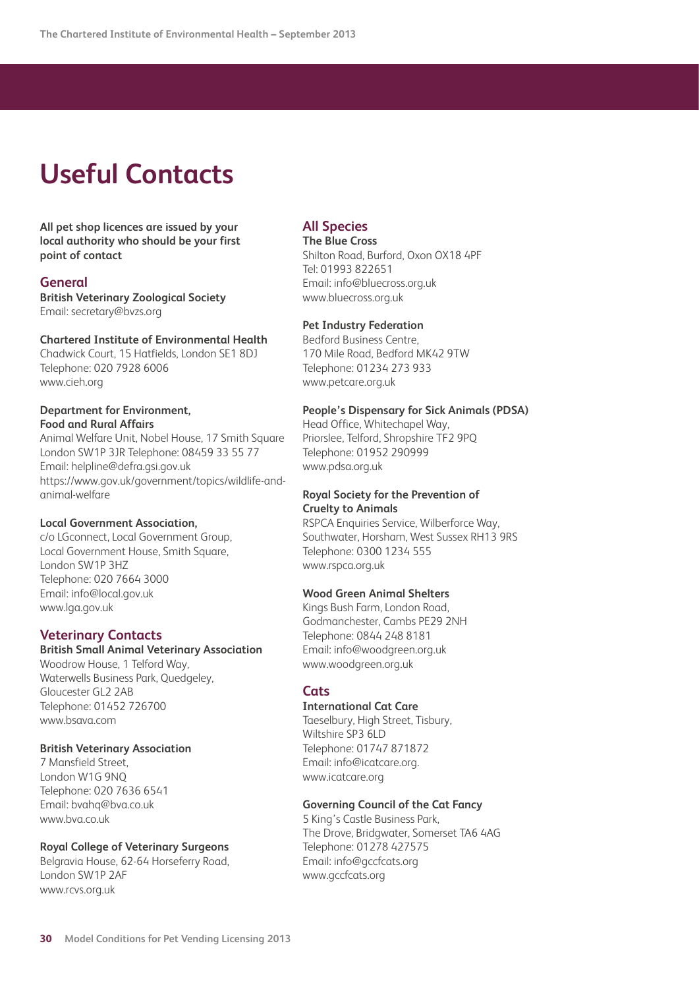## <span id="page-29-0"></span>**Useful Contacts**

### **All pet shop licences are issued by your local authority who should be your first point of contact**

## **General**

**British Veterinary Zoological Society** Email: secretary@bvzs.org

### **Chartered Institute of Environmental Health**

Chadwick Court, 15 Hatfields, London SE1 8DJ Telephone: 020 7928 6006 www.cieh.org

#### **Department for Environment, Food and Rural Affairs**

Animal Welfare Unit, Nobel House, 17 Smith Square London SW1P 3JR Telephone: 08459 33 55 77 Email: helpline@defra.gsi.gov.uk https://www.gov.uk/government/topics/wildlife-andanimal-welfare

## **Local Government Association,**

c/o LGconnect, Local Government Group, Local Government House, Smith Square, London SW1P 3HZ Telephone: 020 7664 3000 Email: info@local.gov.uk www.lga.gov.uk

## **Veterinary Contacts**

## **British Small Animal Veterinary Association**

Woodrow House, 1 Telford Way, Waterwells Business Park, Quedgeley, Gloucester GL2 2AB Telephone: 01452 726700 www.bsava.com

#### **British Veterinary Association**

7 Mansfield Street, London W1G 9NQ Telephone: 020 7636 6541 Email: bvahq@bva.co.uk www.bva.co.uk

## **Royal College of Veterinary Surgeons**

Belgravia House, 62-64 Horseferry Road, London SW1P 2AF www.rcvs.org.uk

## **All Species**

**The Blue Cross** Shilton Road, Burford, Oxon OX18 4PF Tel: 01993 822651 Email: info@bluecross.org.uk www.bluecross.org.uk

#### **Pet Industry Federation**

Bedford Business Centre, 170 Mile Road, Bedford MK42 9TW Telephone: 01234 273 933 www.petcare.org.uk

#### **People's Dispensary for Sick Animals (PDSA)**

Head Office, Whitechapel Way, Priorslee, Telford, Shropshire TF2 9PQ Telephone: 01952 290999 www.pdsa.org.uk

#### **Royal Society for the Prevention of Cruelty to Animals**

RSPCA Enquiries Service, Wilberforce Way, Southwater, Horsham, West Sussex RH13 9RS Telephone: 0300 1234 555 www.rspca.org.uk

#### **Wood Green Animal Shelters**

Kings Bush Farm, London Road, Godmanchester, Cambs PE29 2NH Telephone: 0844 248 8181 Email: info@woodgreen.org.uk www.woodgreen.org.uk

## **Cats**

#### **International Cat Care**

Taeselbury, High Street, Tisbury, Wiltshire SP3 6LD Telephone: 01747 871872 Email: info@icatcare.org. www.icatcare.org

#### **Governing Council of the Cat Fancy**

5 King's Castle Business Park, The Drove, Bridgwater, Somerset TA6 4AG Telephone: 01278 427575 Email: info@gccfcats.org www.gccfcats.org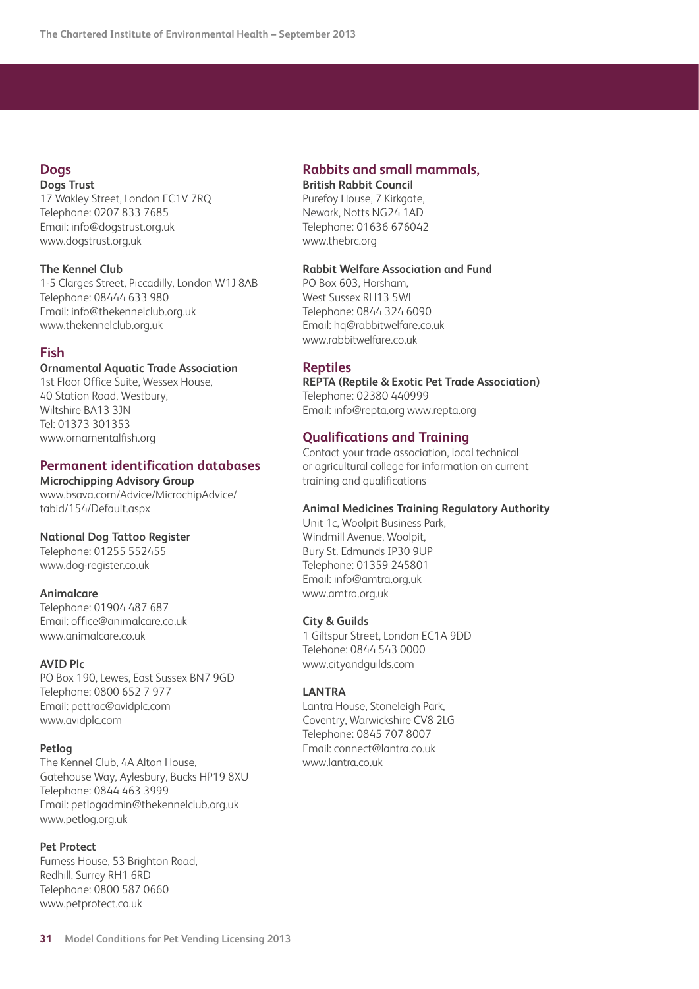#### **Dogs Dogs Trust**

17 Wakley Street, London EC1V 7RQ Telephone: 0207 833 7685 Email: info@dogstrust.org.uk www.dogstrust.org.uk

## **The Kennel Club**

1-5 Clarges Street, Piccadilly, London W1J 8AB Telephone: 08444 633 980 Email: info@thekennelclub.org.uk www.thekennelclub.org.uk

## **Fish**

## **Ornamental Aquatic Trade Association**

1st Floor Office Suite, Wessex House, 40 Station Road, Westbury, Wiltshire BA13 3JN Tel: 01373 301353 www.ornamentalfish.org

## **Permanent identification databases**

**Microchipping Advisory Group**  [www.bsava.com/Advice/MicrochipAdvice/](http://www.bsava.com/Advice/MicrochipAdvice/tabid/154/Default.aspx) tabid/154/Default.aspx

## **National Dog Tattoo Register**

Telephone: 01255 552455 www.dog-register.co.uk

## **Animalcare**

Telephone: 01904 487 687 Email: office@animalcare.co.uk www.animalcare.co.uk

## **AVID Plc**

PO Box 190, Lewes, East Sussex BN7 9GD Telephone: 0800 652 7 977 Email: pettrac@avidplc.com www.avidplc.com

#### **Petlog**

The Kennel Club, 4A Alton House, Gatehouse Way, Aylesbury, Bucks HP19 8XU Telephone: 0844 463 3999 Email: petlogadmin@thekennelclub.org.uk www.petlog.org.uk

## **Pet Protect**

Furness House, 53 Brighton Road, Redhill, Surrey RH1 6RD Telephone: 0800 587 0660 www.petprotect.co.uk

## **Rabbits and small mammals,**

**British Rabbit Council** Purefoy House, 7 Kirkgate, Newark, Notts NG24 1AD Telephone: 01636 676042 www.thebrc.org

### **Rabbit Welfare Association and Fund**

PO Box 603, Horsham, West Sussex RH13 5WL Telephone: 0844 324 6090 Email: hq@rabbitwelfare.co.uk www.rabbitwelfare.co.uk

## **Reptiles**

**REPTA (Reptile & Exotic Pet Trade Association)** Telephone: 02380 440999 Email: info@repta.org www.repta.org

## **Qualifications and Training**

Contact your trade association, local technical or agricultural college for information on current training and qualifications

## **Animal Medicines Training Regulatory Authority**

Unit 1c, Woolpit Business Park, Windmill Avenue, Woolpit, Bury St. Edmunds IP30 9UP Telephone: 01359 245801 Email: info@amtra.org.uk www.amtra.org.uk

## **City & Guilds**

1 Giltspur Street, London EC1A 9DD Telehone: 0844 543 0000 www.cityandguilds.com

## **LANTRA**

Lantra House, Stoneleigh Park, Coventry, Warwickshire CV8 2LG Telephone: 0845 707 8007 Email: connect@lantra.co.uk www.lantra.co.uk